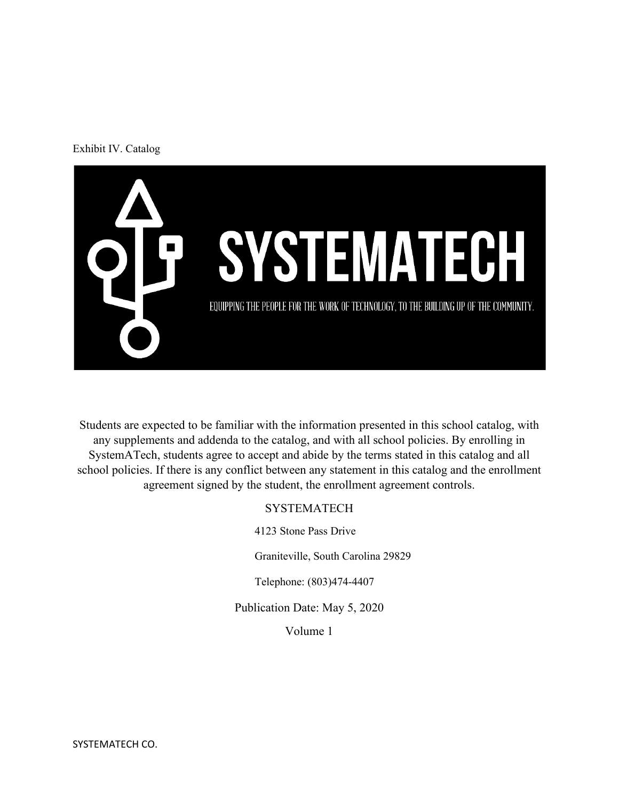#### Exhibit IV. Catalog



Students are expected to be familiar with the information presented in this school catalog, with any supplements and addenda to the catalog, and with all school policies. By enrolling in SystemATech, students agree to accept and abide by the terms stated in this catalog and all school policies. If there is any conflict between any statement in this catalog and the enrollment agreement signed by the student, the enrollment agreement controls.

#### **SYSTEMATECH**

4123 Stone Pass Drive

Graniteville, South Carolina 29829

Telephone: (803)474-4407

Publication Date: May 5, 2020

Volume 1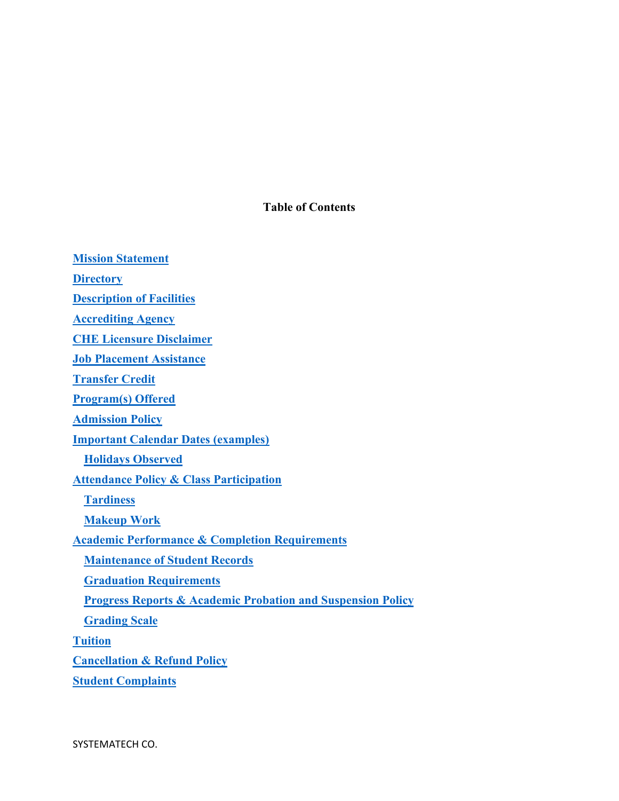**Table of Contents** 

**Mission Statement Directory Description of Facilities Accrediting Agency CHE Licensure Disclaimer Job Placement Assistance Transfer Credit Program(s) Offered Admission Policy Important Calendar Dates (examples) Holidays Observed Attendance Policy & Class Participation Tardiness Makeup Work Academic Performance & Completion Requirements Maintenance of Student Records Graduation Requirements Progress Reports & Academic Probation and Suspension Policy Grading Scale Tuition Cancellation & Refund Policy**

**Student Complaints**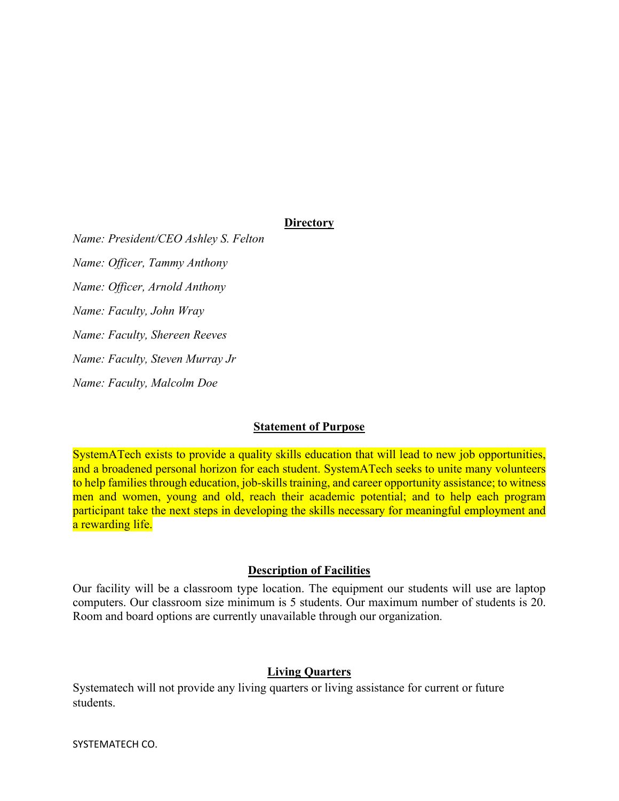### **Directory**

*Name: President/CEO Ashley S. Felton Name: Officer, Tammy Anthony Name: Officer, Arnold Anthony Name: Faculty, John Wray Name: Faculty, Shereen Reeves Name: Faculty, Steven Murray Jr Name: Faculty, Malcolm Doe* 

#### **Statement of Purpose**

SystemATech exists to provide a quality skills education that will lead to new job opportunities, and a broadened personal horizon for each student. SystemATech seeks to unite many volunteers to help families through education, job-skills training, and career opportunity assistance; to witness men and women, young and old, reach their academic potential; and to help each program participant take the next steps in developing the skills necessary for meaningful employment and a rewarding life.

#### **Description of Facilities**

Our facility will be a classroom type location. The equipment our students will use are laptop computers. Our classroom size minimum is 5 students. Our maximum number of students is 20. Room and board options are currently unavailable through our organization.

#### **Living Quarters**

Systematech will not provide any living quarters or living assistance for current or future students.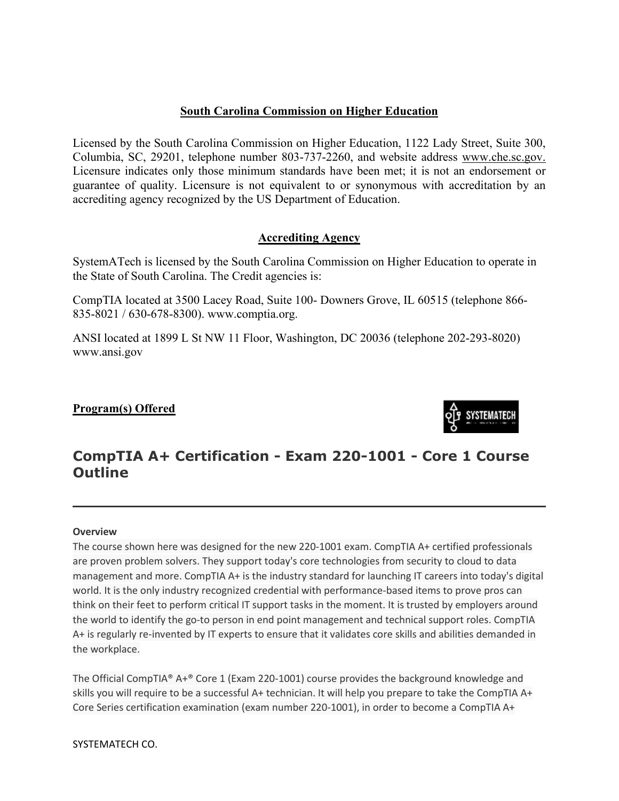## **South Carolina Commission on Higher Education**

Licensed by the South Carolina Commission on Higher Education, 1122 Lady Street, Suite 300, Columbia, SC, 29201, telephone number 803-737-2260, and website address [www.che.sc.gov.](http://www.che.sc.gov/) Licensure indicates only those minimum standards have been met; it is not an endorsement or guarantee of quality. Licensure is not equivalent to or synonymous with accreditation by an accrediting agency recognized by the US Department of Education.

## **Accrediting Agency**

SystemATech is licensed by the South Carolina Commission on Higher Education to operate in the State of South Carolina. The Credit agencies is:

CompTIA located at 3500 Lacey Road, Suite 100- Downers Grove, IL 60515 (telephone 866- 835-8021 / 630-678-8300). www.comptia.org.

ANSI located at 1899 L St NW 11 Floor, Washington, DC 20036 (telephone 202-293-8020) www.ansi.gov

## **Program(s) Offered**



# **CompTIA A+ Certification - Exam 220-1001 - Core 1 Course Outline**

#### **Overview**

The course shown here was designed for the new 220-1001 exam. CompTIA A+ certified professionals are proven problem solvers. They support today's core technologies from security to cloud to data management and more. CompTIA A+ is the industry standard for launching IT careers into today's digital world. It is the only industry recognized credential with performance-based items to prove pros can think on their feet to perform critical IT support tasks in the moment. It is trusted by employers around the world to identify the go-to person in end point management and technical support roles. CompTIA A+ is regularly re-invented by IT experts to ensure that it validates core skills and abilities demanded in the workplace.

The Official CompTIA® A+® Core 1 (Exam 220-1001) course provides the background knowledge and skills you will require to be a successful A+ technician. It will help you prepare to take the CompTIA A+ Core Series certification examination (exam number 220-1001), in order to become a CompTIA A+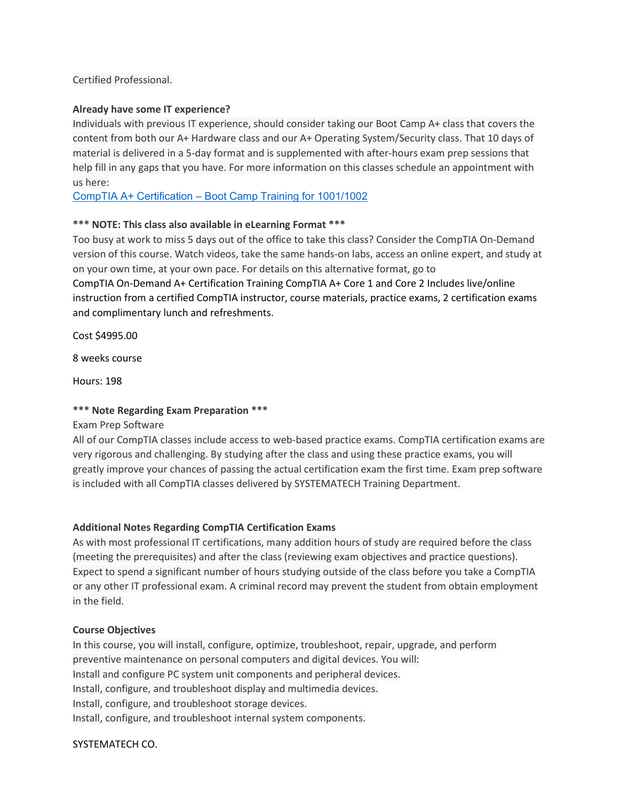#### Certified Professional.

#### **Already have some IT experience?**

Individuals with previous IT experience, should consider taking our Boot Camp A+ class that covers the content from both our A+ Hardware class and our A+ Operating System/Security class. That 10 days of material is delivered in a 5-day format and is supplemented with after-hours exam prep sessions that help fill in any gaps that you have. For more information on this classes schedule an appointment with us here:

[CompTIA A+ Certification – Boot Camp](https://www.systematech.us/bookings-checkout/job-skills-and-training/book) Training for 1001/1002

#### **\*\*\* NOTE: This class also available in eLearning Format \*\*\***

Too busy at work to miss 5 days out of the office to take this class? Consider the CompTIA On-Demand version of this course. Watch videos, take the same hands-on labs, access an online expert, and study at on your own time, at your own pace. For details on this alternative format, go to CompTIA On-Demand A+ Certification Training CompTIA A+ Core 1 and Core 2 Includes live/online instruction from a certified CompTIA instructor, course materials, practice exams, 2 certification exams and complimentary lunch and refreshments.

Cost \$4995.00

8 weeks course

Hours: 198

#### **\*\*\* Note Regarding Exam Preparation \*\*\***

Exam Prep Software

All of our CompTIA classes include access to web-based practice exams. CompTIA certification exams are very rigorous and challenging. By studying after the class and using these practice exams, you will greatly improve your chances of passing the actual certification exam the first time. Exam prep software is included with all CompTIA classes delivered by SYSTEMATECH Training Department.

#### **Additional Notes Regarding CompTIA Certification Exams**

As with most professional IT certifications, many addition hours of study are required before the class (meeting the prerequisites) and after the class (reviewing exam objectives and practice questions). Expect to spend a significant number of hours studying outside of the class before you take a CompTIA or any other IT professional exam. A criminal record may prevent the student from obtain employment in the field.

#### **Course Objectives**

In this course, you will install, configure, optimize, troubleshoot, repair, upgrade, and perform preventive maintenance on personal computers and digital devices. You will: Install and configure PC system unit components and peripheral devices. Install, configure, and troubleshoot display and multimedia devices. Install, configure, and troubleshoot storage devices. Install, configure, and troubleshoot internal system components.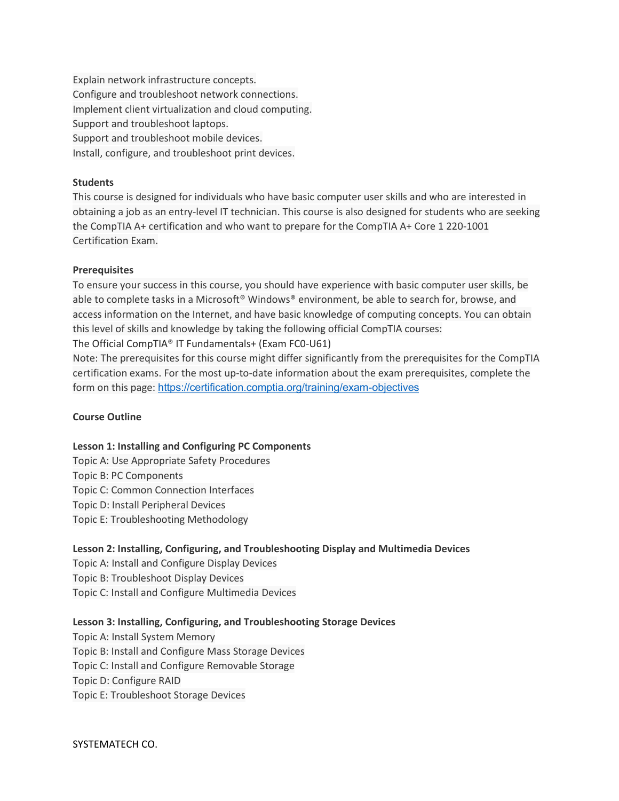Explain network infrastructure concepts. Configure and troubleshoot network connections. Implement client virtualization and cloud computing. Support and troubleshoot laptops. Support and troubleshoot mobile devices. Install, configure, and troubleshoot print devices.

#### **Students**

This course is designed for individuals who have basic computer user skills and who are interested in obtaining a job as an entry-level IT technician. This course is also designed for students who are seeking the CompTIA A+ certification and who want to prepare for the CompTIA A+ Core 1 220-1001 Certification Exam.

#### **Prerequisites**

To ensure your success in this course, you should have experience with basic computer user skills, be able to complete tasks in a Microsoft® Windows® environment, be able to search for, browse, and access information on the Internet, and have basic knowledge of computing concepts. You can obtain this level of skills and knowledge by taking the following official CompTIA courses:

The Official CompTIA® IT Fundamentals+ (Exam FC0-U61)

Note: The prerequisites for this course might differ significantly from the prerequisites for the CompTIA certification exams. For the most up-to-date information about the exam prerequisites, complete the form on this page: <https://certification.comptia.org/training/exam-objectives>

## **Course Outline**

#### **Lesson 1: Installing and Configuring PC Components**

Topic A: Use Appropriate Safety Procedures Topic B: PC Components Topic C: Common Connection Interfaces Topic D: Install Peripheral Devices Topic E: Troubleshooting Methodology

## **Lesson 2: Installing, Configuring, and Troubleshooting Display and Multimedia Devices**

Topic A: Install and Configure Display Devices Topic B: Troubleshoot Display Devices Topic C: Install and Configure Multimedia Devices

## **Lesson 3: Installing, Configuring, and Troubleshooting Storage Devices**

Topic A: Install System Memory Topic B: Install and Configure Mass Storage Devices Topic C: Install and Configure Removable Storage Topic D: Configure RAID Topic E: Troubleshoot Storage Devices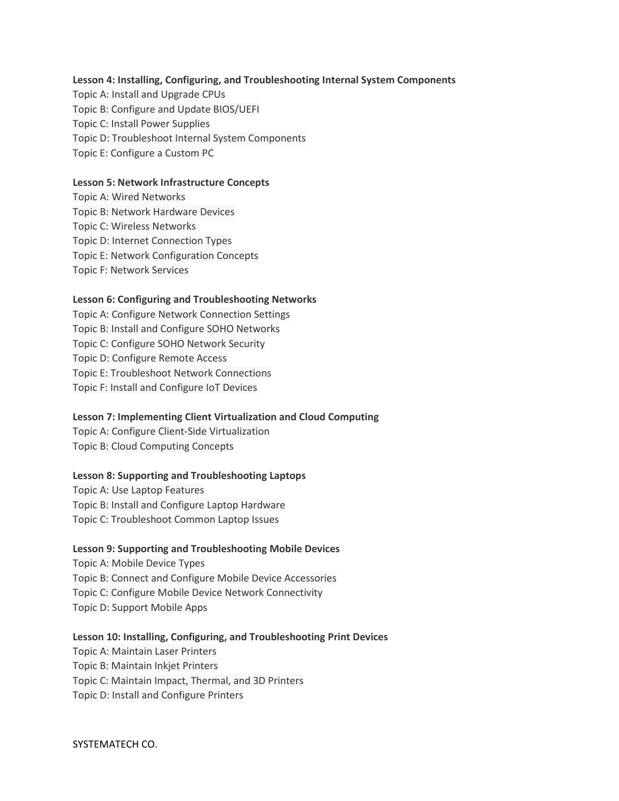#### **Lesson 4: Installing, Configuring, and Troubleshooting Internal System Components**

Topic A: Install and Upgrade CPUs Topic B: Configure and Update BIOS/UEFI Topic C: Install Power Supplies Topic D: Troubleshoot Internal System Components Topic E: Configure a Custom PC

#### **Lesson 5: Network Infrastructure Concepts**

Topic A: Wired Networks Topic B: Network Hardware Devices Topic C: Wireless Networks Topic D: Internet Connection Types Topic E: Network Configuration Concepts Topic F: Network Services

#### **Lesson 6: Configuring and Troubleshooting Networks**

Topic A: Configure Network Connection Settings Topic B: Install and Configure SOHO Networks Topic C: Configure SOHO Network Security Topic D: Configure Remote Access Topic E: Troubleshoot Network Connections Topic F: Install and Configure IoT Devices

#### **Lesson 7: Implementing Client Virtualization and Cloud Computing**

Topic A: Configure Client-Side Virtualization Topic B: Cloud Computing Concepts

#### **Lesson 8: Supporting and Troubleshooting Laptops**

Topic A: Use Laptop Features Topic B: Install and Configure Laptop Hardware Topic C: Troubleshoot Common Laptop Issues

#### **Lesson 9: Supporting and Troubleshooting Mobile Devices**

Topic A: Mobile Device Types Topic B: Connect and Configure Mobile Device Accessories Topic C: Configure Mobile Device Network Connectivity Topic D: Support Mobile Apps

#### **Lesson 10: Installing, Configuring, and Troubleshooting Print Devices**

Topic A: Maintain Laser Printers Topic B: Maintain Inkjet Printers Topic C: Maintain Impact, Thermal, and 3D Printers Topic D: Install and Configure Printers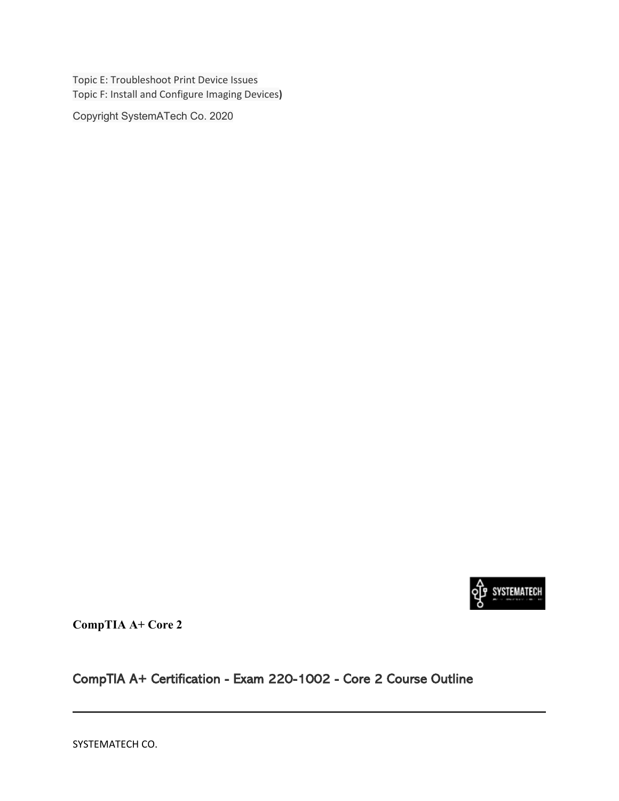Topic E: Troubleshoot Print Device Issues Topic F: Install and Configure Imaging Devices**)** 

Copyright SystemATech Co. 2020



**CompTIA A+ Core 2**

CompTIA A+ Certification - Exam 220-1002 - Core 2 Course Outline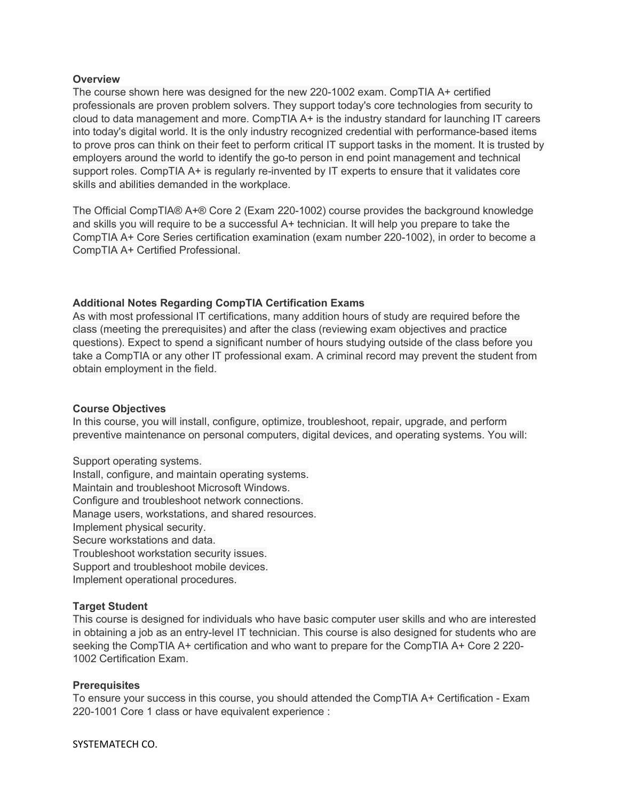#### **Overview**

The course shown here was designed for the new 220-1002 exam. CompTIA A+ certified professionals are proven problem solvers. They support today's core technologies from security to cloud to data management and more. CompTIA A+ is the industry standard for launching IT careers into today's digital world. It is the only industry recognized credential with performance-based items to prove pros can think on their feet to perform critical IT support tasks in the moment. It is trusted by employers around the world to identify the go-to person in end point management and technical support roles. CompTIA A+ is regularly re-invented by IT experts to ensure that it validates core skills and abilities demanded in the workplace.

The Official CompTIA® A+® Core 2 (Exam 220-1002) course provides the background knowledge and skills you will require to be a successful A+ technician. It will help you prepare to take the CompTIA A+ Core Series certification examination (exam number 220-1002), in order to become a CompTIA A+ Certified Professional.

### **Additional Notes Regarding CompTIA Certification Exams**

As with most professional IT certifications, many addition hours of study are required before the class (meeting the prerequisites) and after the class (reviewing exam objectives and practice questions). Expect to spend a significant number of hours studying outside of the class before you take a CompTIA or any other IT professional exam. A criminal record may prevent the student from obtain employment in the field.

#### **Course Objectives**

In this course, you will install, configure, optimize, troubleshoot, repair, upgrade, and perform preventive maintenance on personal computers, digital devices, and operating systems. You will:

Support operating systems. Install, configure, and maintain operating systems. Maintain and troubleshoot Microsoft Windows. Configure and troubleshoot network connections. Manage users, workstations, and shared resources. Implement physical security. Secure workstations and data. Troubleshoot workstation security issues. Support and troubleshoot mobile devices.

Implement operational procedures.

#### **Target Student**

This course is designed for individuals who have basic computer user skills and who are interested in obtaining a job as an entry-level IT technician. This course is also designed for students who are seeking the CompTIA A+ certification and who want to prepare for the CompTIA A+ Core 2 220- 1002 Certification Exam.

#### **Prerequisites**

To ensure your success in this course, you should attended the CompTIA A+ Certification - Exam 220-1001 Core 1 class or have equivalent experience :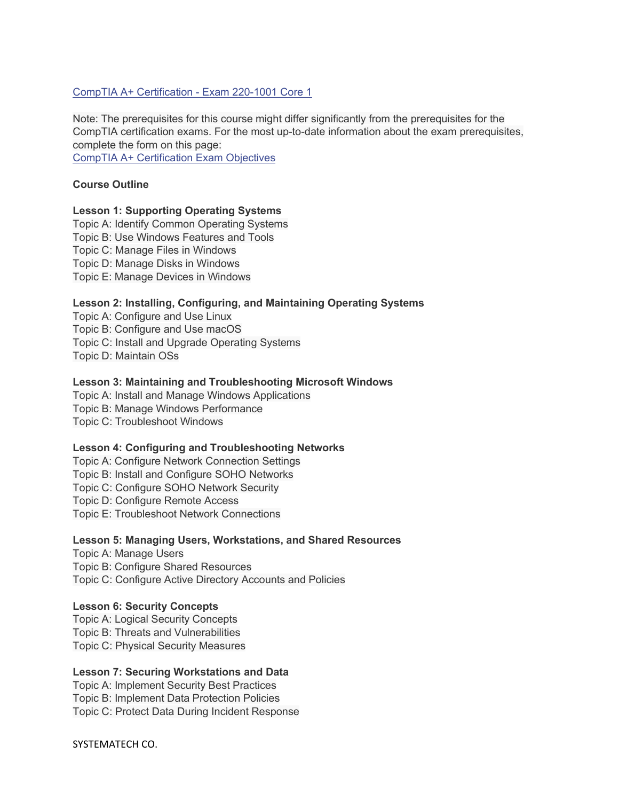#### [CompTIA A+ Certification - Exam 220-1001 Core 1](https://www.onlc.com/outline.asp?ccode=XAPA101)

Note: The prerequisites for this course might differ significantly from the prerequisites for the CompTIA certification exams. For the most up-to-date information about the exam prerequisites, complete the form on this page:

[CompTIA A+ Certification Exam Objectives](https://certification.comptia.org/training/exam-objectives)

#### **Course Outline**

#### **Lesson 1: Supporting Operating Systems**

Topic A: Identify Common Operating Systems Topic B: Use Windows Features and Tools Topic C: Manage Files in Windows Topic D: Manage Disks in Windows Topic E: Manage Devices in Windows

#### **Lesson 2: Installing, Configuring, and Maintaining Operating Systems**

Topic A: Configure and Use Linux Topic B: Configure and Use macOS Topic C: Install and Upgrade Operating Systems Topic D: Maintain OSs

#### **Lesson 3: Maintaining and Troubleshooting Microsoft Windows**

Topic A: Install and Manage Windows Applications Topic B: Manage Windows Performance Topic C: Troubleshoot Windows

#### **Lesson 4: Configuring and Troubleshooting Networks**

Topic A: Configure Network Connection Settings Topic B: Install and Configure SOHO Networks Topic C: Configure SOHO Network Security Topic D: Configure Remote Access Topic E: Troubleshoot Network Connections

#### **Lesson 5: Managing Users, Workstations, and Shared Resources**

Topic A: Manage Users Topic B: Configure Shared Resources Topic C: Configure Active Directory Accounts and Policies

#### **Lesson 6: Security Concepts**

Topic A: Logical Security Concepts Topic B: Threats and Vulnerabilities Topic C: Physical Security Measures

#### **Lesson 7: Securing Workstations and Data**

Topic A: Implement Security Best Practices Topic B: Implement Data Protection Policies Topic C: Protect Data During Incident Response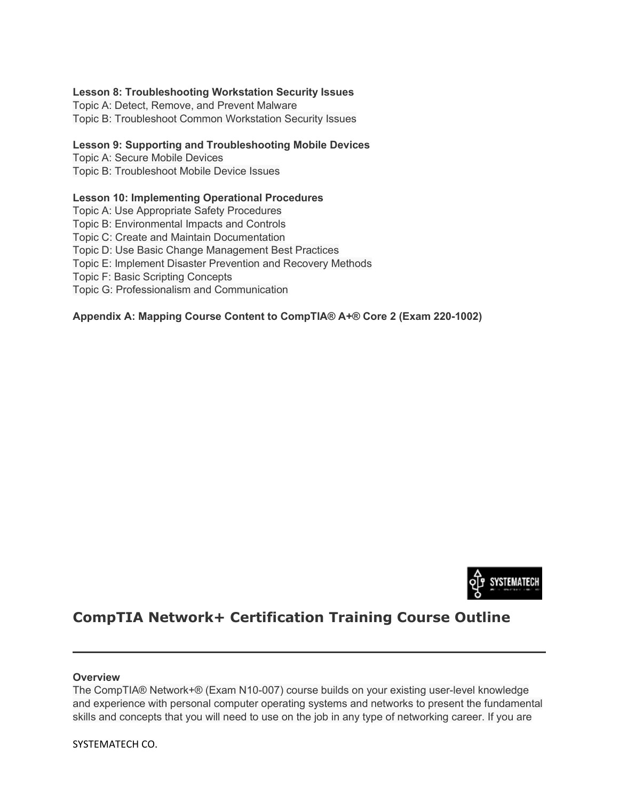#### **Lesson 8: Troubleshooting Workstation Security Issues**

Topic A: Detect, Remove, and Prevent Malware Topic B: Troubleshoot Common Workstation Security Issues

#### **Lesson 9: Supporting and Troubleshooting Mobile Devices**

Topic A: Secure Mobile Devices

Topic B: Troubleshoot Mobile Device Issues

### **Lesson 10: Implementing Operational Procedures**

Topic A: Use Appropriate Safety Procedures

Topic B: Environmental Impacts and Controls

Topic C: Create and Maintain Documentation

Topic D: Use Basic Change Management Best Practices

Topic E: Implement Disaster Prevention and Recovery Methods

Topic F: Basic Scripting Concepts

Topic G: Professionalism and Communication

### **Appendix A: Mapping Course Content to CompTIA® A+® Core 2 (Exam 220-1002)**



# **CompTIA Network+ Certification Training Course Outline**

#### **Overview**

The CompTIA® Network+® (Exam N10-007) course builds on your existing user-level knowledge and experience with personal computer operating systems and networks to present the fundamental skills and concepts that you will need to use on the job in any type of networking career. If you are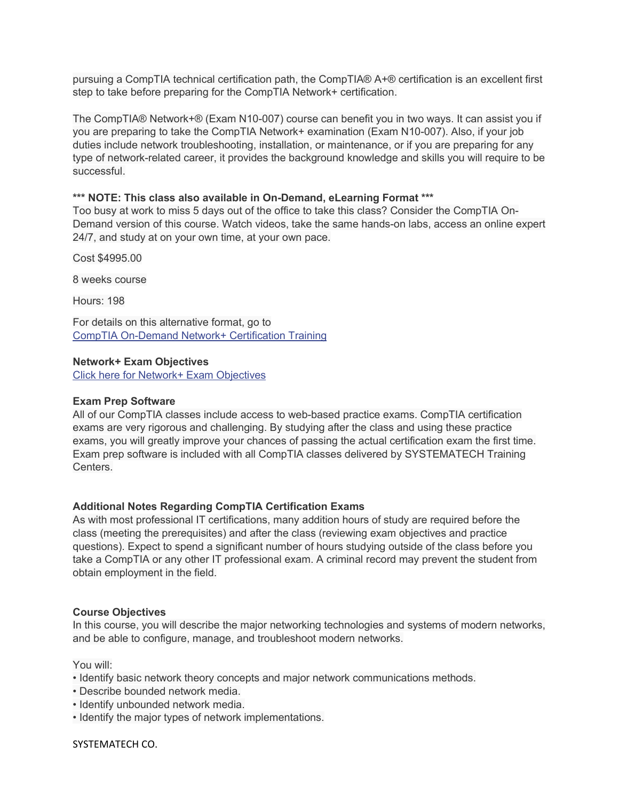pursuing a CompTIA technical certification path, the CompTIA® A+® certification is an excellent first step to take before preparing for the CompTIA Network+ certification.

The CompTIA® Network+® (Exam N10-007) course can benefit you in two ways. It can assist you if you are preparing to take the CompTIA Network+ examination (Exam N10-007). Also, if your job duties include network troubleshooting, installation, or maintenance, or if you are preparing for any type of network-related career, it provides the background knowledge and skills you will require to be successful.

#### **\*\*\* NOTE: This class also available in On-Demand, eLearning Format \*\*\***

Too busy at work to miss 5 days out of the office to take this class? Consider the CompTIA On-Demand version of this course. Watch videos, take the same hands-on labs, access an online expert 24/7, and study at on your own time, at your own pace.

Cost \$4995.00

8 weeks course

Hours: 198

For details on this alternative format, go to [CompTIA On-Demand Network+ Certification Training](http://www.systematech.us/network)

#### **Network+ Exam Objectives**

[Click here for Network+ Exam Objectives](https://www.comptia.org/certifications/network)

#### **Exam Prep Software**

All of our CompTIA classes include access to web-based practice exams. CompTIA certification exams are very rigorous and challenging. By studying after the class and using these practice exams, you will greatly improve your chances of passing the actual certification exam the first time. Exam prep software is included with all CompTIA classes delivered by SYSTEMATECH Training Centers.

#### **Additional Notes Regarding CompTIA Certification Exams**

As with most professional IT certifications, many addition hours of study are required before the class (meeting the prerequisites) and after the class (reviewing exam objectives and practice questions). Expect to spend a significant number of hours studying outside of the class before you take a CompTIA or any other IT professional exam. A criminal record may prevent the student from obtain employment in the field.

#### **Course Objectives**

In this course, you will describe the major networking technologies and systems of modern networks, and be able to configure, manage, and troubleshoot modern networks.

You will:

- Identify basic network theory concepts and major network communications methods.
- Describe bounded network media.
- Identify unbounded network media.
- Identify the major types of network implementations.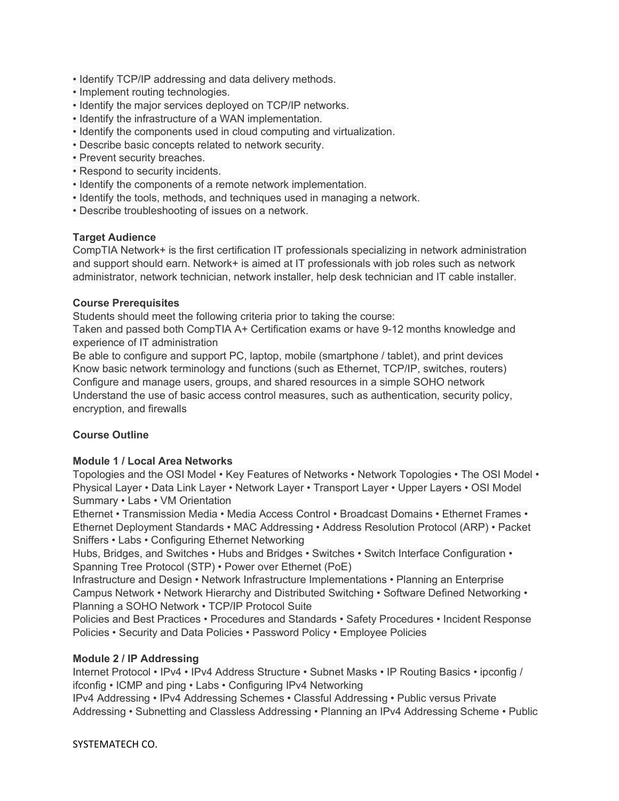- Identify TCP/IP addressing and data delivery methods.
- Implement routing technologies.
- Identify the major services deployed on TCP/IP networks.
- Identify the infrastructure of a WAN implementation.
- Identify the components used in cloud computing and virtualization.
- Describe basic concepts related to network security.
- Prevent security breaches.
- Respond to security incidents.
- Identify the components of a remote network implementation.
- Identify the tools, methods, and techniques used in managing a network.
- Describe troubleshooting of issues on a network.

#### **Target Audience**

CompTIA Network+ is the first certification IT professionals specializing in network administration and support should earn. Network+ is aimed at IT professionals with job roles such as network administrator, network technician, network installer, help desk technician and IT cable installer.

### **Course Prerequisites**

Students should meet the following criteria prior to taking the course:

Taken and passed both CompTIA A+ Certification exams or have 9-12 months knowledge and experience of IT administration

Be able to configure and support PC, laptop, mobile (smartphone / tablet), and print devices Know basic network terminology and functions (such as Ethernet, TCP/IP, switches, routers) Configure and manage users, groups, and shared resources in a simple SOHO network Understand the use of basic access control measures, such as authentication, security policy, encryption, and firewalls

## **Course Outline**

#### **Module 1 / Local Area Networks**

Topologies and the OSI Model • Key Features of Networks • Network Topologies • The OSI Model • Physical Layer • Data Link Layer • Network Layer • Transport Layer • Upper Layers • OSI Model Summary • Labs • VM Orientation

Ethernet • Transmission Media • Media Access Control • Broadcast Domains • Ethernet Frames • Ethernet Deployment Standards • MAC Addressing • Address Resolution Protocol (ARP) • Packet Sniffers • Labs • Configuring Ethernet Networking

Hubs, Bridges, and Switches • Hubs and Bridges • Switches • Switch Interface Configuration • Spanning Tree Protocol (STP) • Power over Ethernet (PoE)

Infrastructure and Design • Network Infrastructure Implementations • Planning an Enterprise Campus Network • Network Hierarchy and Distributed Switching • Software Defined Networking • Planning a SOHO Network • TCP/IP Protocol Suite

Policies and Best Practices • Procedures and Standards • Safety Procedures • Incident Response Policies • Security and Data Policies • Password Policy • Employee Policies

## **Module 2 / IP Addressing**

Internet Protocol • IPv4 • IPv4 Address Structure • Subnet Masks • IP Routing Basics • ipconfig / ifconfig • ICMP and ping • Labs • Configuring IPv4 Networking

IPv4 Addressing • IPv4 Addressing Schemes • Classful Addressing • Public versus Private Addressing • Subnetting and Classless Addressing • Planning an IPv4 Addressing Scheme • Public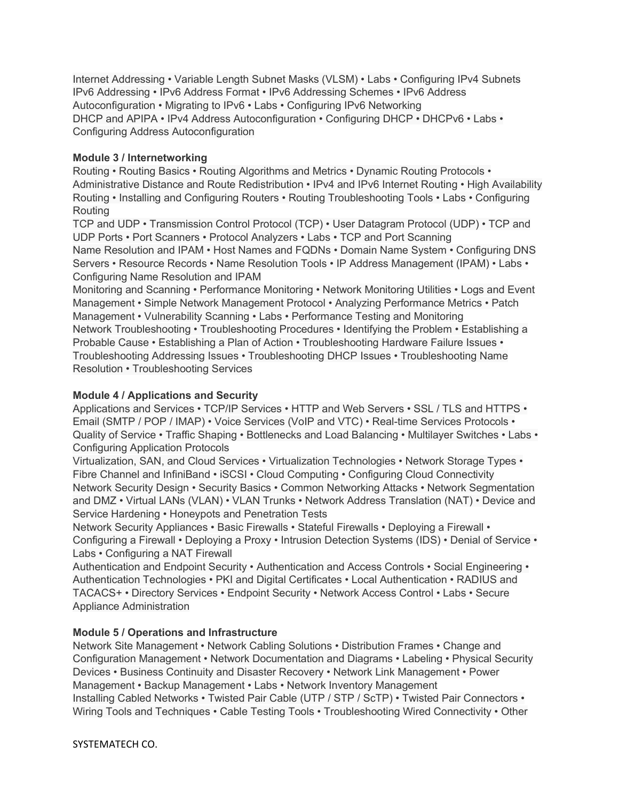Internet Addressing • Variable Length Subnet Masks (VLSM) • Labs • Configuring IPv4 Subnets IPv6 Addressing • IPv6 Address Format • IPv6 Addressing Schemes • IPv6 Address Autoconfiguration • Migrating to IPv6 • Labs • Configuring IPv6 Networking DHCP and APIPA • IPv4 Address Autoconfiguration • Configuring DHCP • DHCPv6 • Labs • Configuring Address Autoconfiguration

## **Module 3 / Internetworking**

Routing • Routing Basics • Routing Algorithms and Metrics • Dynamic Routing Protocols • Administrative Distance and Route Redistribution • IPv4 and IPv6 Internet Routing • High Availability Routing • Installing and Configuring Routers • Routing Troubleshooting Tools • Labs • Configuring Routing

TCP and UDP • Transmission Control Protocol (TCP) • User Datagram Protocol (UDP) • TCP and UDP Ports • Port Scanners • Protocol Analyzers • Labs • TCP and Port Scanning Name Resolution and IPAM • Host Names and FQDNs • Domain Name System • Configuring DNS Servers • Resource Records • Name Resolution Tools • IP Address Management (IPAM) • Labs • Configuring Name Resolution and IPAM

Monitoring and Scanning • Performance Monitoring • Network Monitoring Utilities • Logs and Event Management • Simple Network Management Protocol • Analyzing Performance Metrics • Patch Management • Vulnerability Scanning • Labs • Performance Testing and Monitoring Network Troubleshooting • Troubleshooting Procedures • Identifying the Problem • Establishing a Probable Cause • Establishing a Plan of Action • Troubleshooting Hardware Failure Issues • Troubleshooting Addressing Issues • Troubleshooting DHCP Issues • Troubleshooting Name Resolution • Troubleshooting Services

## **Module 4 / Applications and Security**

Applications and Services • TCP/IP Services • HTTP and Web Servers • SSL / TLS and HTTPS • Email (SMTP / POP / IMAP) • Voice Services (VoIP and VTC) • Real-time Services Protocols • Quality of Service • Traffic Shaping • Bottlenecks and Load Balancing • Multilayer Switches • Labs • Configuring Application Protocols

Virtualization, SAN, and Cloud Services • Virtualization Technologies • Network Storage Types • Fibre Channel and InfiniBand • iSCSI • Cloud Computing • Configuring Cloud Connectivity Network Security Design • Security Basics • Common Networking Attacks • Network Segmentation and DMZ • Virtual LANs (VLAN) • VLAN Trunks • Network Address Translation (NAT) • Device and Service Hardening • Honeypots and Penetration Tests

Network Security Appliances • Basic Firewalls • Stateful Firewalls • Deploying a Firewall • Configuring a Firewall • Deploying a Proxy • Intrusion Detection Systems (IDS) • Denial of Service • Labs • Configuring a NAT Firewall

Authentication and Endpoint Security • Authentication and Access Controls • Social Engineering • Authentication Technologies • PKI and Digital Certificates • Local Authentication • RADIUS and TACACS+ • Directory Services • Endpoint Security • Network Access Control • Labs • Secure Appliance Administration

## **Module 5 / Operations and Infrastructure**

Network Site Management • Network Cabling Solutions • Distribution Frames • Change and Configuration Management • Network Documentation and Diagrams • Labeling • Physical Security Devices • Business Continuity and Disaster Recovery • Network Link Management • Power Management • Backup Management • Labs • Network Inventory Management Installing Cabled Networks • Twisted Pair Cable (UTP / STP / ScTP) • Twisted Pair Connectors • Wiring Tools and Techniques • Cable Testing Tools • Troubleshooting Wired Connectivity • Other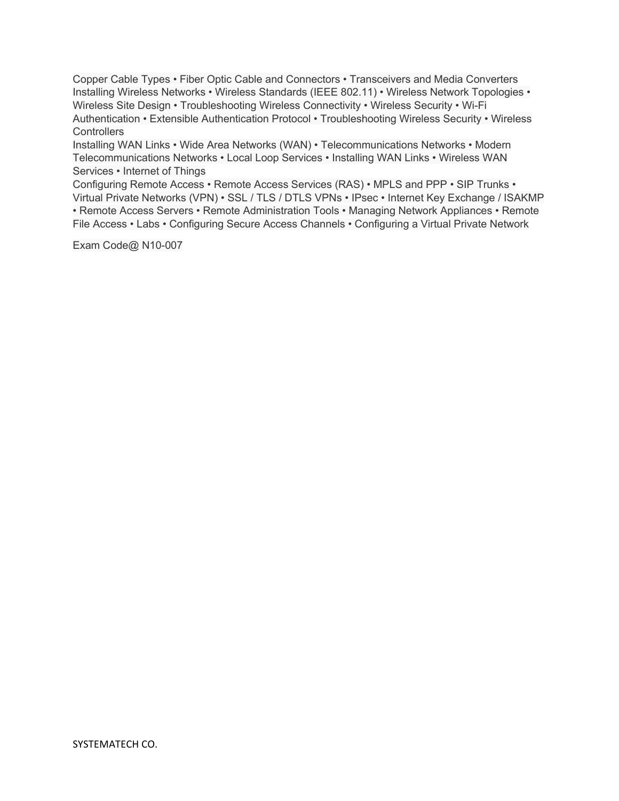Copper Cable Types • Fiber Optic Cable and Connectors • Transceivers and Media Converters Installing Wireless Networks • Wireless Standards (IEEE 802.11) • Wireless Network Topologies • Wireless Site Design • Troubleshooting Wireless Connectivity • Wireless Security • Wi-Fi Authentication • Extensible Authentication Protocol • Troubleshooting Wireless Security • Wireless **Controllers** 

Installing WAN Links • Wide Area Networks (WAN) • Telecommunications Networks • Modern Telecommunications Networks • Local Loop Services • Installing WAN Links • Wireless WAN Services • Internet of Things

Configuring Remote Access • Remote Access Services (RAS) • MPLS and PPP • SIP Trunks • Virtual Private Networks (VPN) • SSL / TLS / DTLS VPNs • IPsec • Internet Key Exchange / ISAKMP • Remote Access Servers • Remote Administration Tools • Managing Network Appliances • Remote File Access • Labs • Configuring Secure Access Channels • Configuring a Virtual Private Network

Exam Code@ N10-007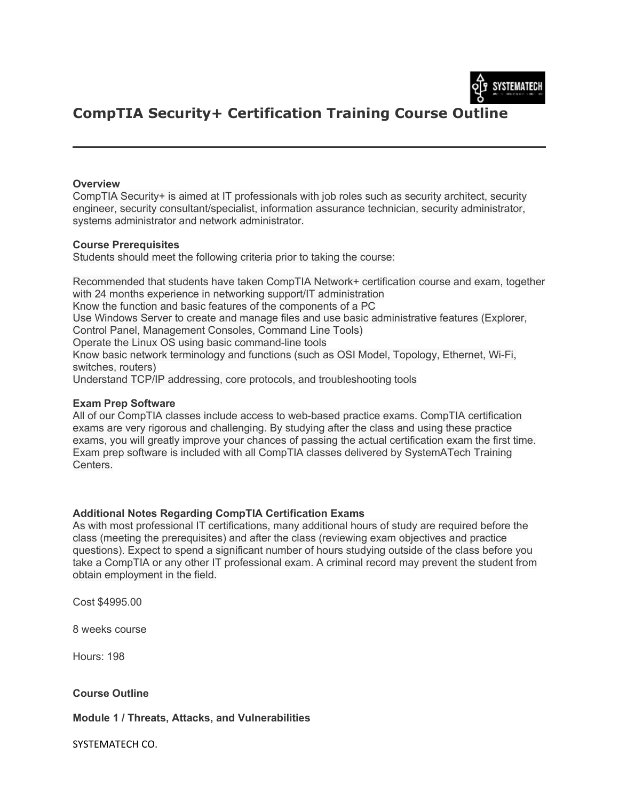

# **CompTIA Security+ Certification Training Course Outline**

#### **Overview**

CompTIA Security+ is aimed at IT professionals with job roles such as security architect, security engineer, security consultant/specialist, information assurance technician, security administrator, systems administrator and network administrator.

#### **Course Prerequisites**

Students should meet the following criteria prior to taking the course:

Recommended that students have taken CompTIA Network+ certification course and exam, together with 24 months experience in networking support/IT administration

Know the function and basic features of the components of a PC

Use Windows Server to create and manage files and use basic administrative features (Explorer, Control Panel, Management Consoles, Command Line Tools)

Operate the Linux OS using basic command-line tools

Know basic network terminology and functions (such as OSI Model, Topology, Ethernet, Wi-Fi, switches, routers)

Understand TCP/IP addressing, core protocols, and troubleshooting tools

#### **Exam Prep Software**

All of our CompTIA classes include access to web-based practice exams. CompTIA certification exams are very rigorous and challenging. By studying after the class and using these practice exams, you will greatly improve your chances of passing the actual certification exam the first time. Exam prep software is included with all CompTIA classes delivered by SystemATech Training Centers.

#### **Additional Notes Regarding CompTIA Certification Exams**

As with most professional IT certifications, many additional hours of study are required before the class (meeting the prerequisites) and after the class (reviewing exam objectives and practice questions). Expect to spend a significant number of hours studying outside of the class before you take a CompTIA or any other IT professional exam. A criminal record may prevent the student from obtain employment in the field.

Cost \$4995.00

8 weeks course

Hours: 198

#### **Course Outline**

**Module 1 / Threats, Attacks, and Vulnerabilities**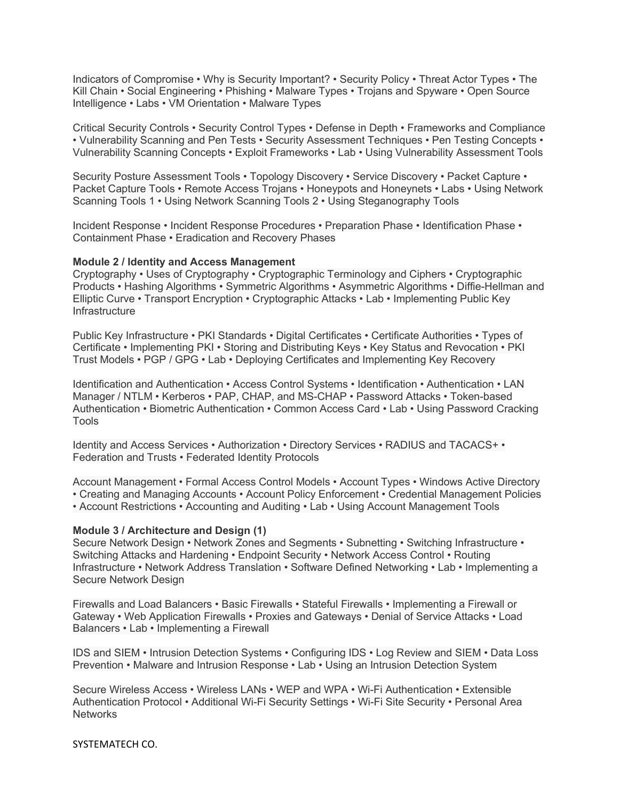Indicators of Compromise • Why is Security Important? • Security Policy • Threat Actor Types • The Kill Chain • Social Engineering • Phishing • Malware Types • Trojans and Spyware • Open Source Intelligence • Labs • VM Orientation • Malware Types

Critical Security Controls • Security Control Types • Defense in Depth • Frameworks and Compliance • Vulnerability Scanning and Pen Tests • Security Assessment Techniques • Pen Testing Concepts • Vulnerability Scanning Concepts • Exploit Frameworks • Lab • Using Vulnerability Assessment Tools

Security Posture Assessment Tools • Topology Discovery • Service Discovery • Packet Capture • Packet Capture Tools • Remote Access Trojans • Honeypots and Honeynets • Labs • Using Network Scanning Tools 1 • Using Network Scanning Tools 2 • Using Steganography Tools

Incident Response • Incident Response Procedures • Preparation Phase • Identification Phase • Containment Phase • Eradication and Recovery Phases

#### **Module 2 / Identity and Access Management**

Cryptography • Uses of Cryptography • Cryptographic Terminology and Ciphers • Cryptographic Products • Hashing Algorithms • Symmetric Algorithms • Asymmetric Algorithms • Diffie-Hellman and Elliptic Curve • Transport Encryption • Cryptographic Attacks • Lab • Implementing Public Key Infrastructure

Public Key Infrastructure • PKI Standards • Digital Certificates • Certificate Authorities • Types of Certificate • Implementing PKI • Storing and Distributing Keys • Key Status and Revocation • PKI Trust Models • PGP / GPG • Lab • Deploying Certificates and Implementing Key Recovery

Identification and Authentication • Access Control Systems • Identification • Authentication • LAN Manager / NTLM • Kerberos • PAP, CHAP, and MS-CHAP • Password Attacks • Token-based Authentication • Biometric Authentication • Common Access Card • Lab • Using Password Cracking Tools

Identity and Access Services • Authorization • Directory Services • RADIUS and TACACS+ • Federation and Trusts • Federated Identity Protocols

Account Management • Formal Access Control Models • Account Types • Windows Active Directory • Creating and Managing Accounts • Account Policy Enforcement • Credential Management Policies • Account Restrictions • Accounting and Auditing • Lab • Using Account Management Tools

#### **Module 3 / Architecture and Design (1)**

Secure Network Design • Network Zones and Segments • Subnetting • Switching Infrastructure • Switching Attacks and Hardening • Endpoint Security • Network Access Control • Routing Infrastructure • Network Address Translation • Software Defined Networking • Lab • Implementing a Secure Network Design

Firewalls and Load Balancers • Basic Firewalls • Stateful Firewalls • Implementing a Firewall or Gateway • Web Application Firewalls • Proxies and Gateways • Denial of Service Attacks • Load Balancers • Lab • Implementing a Firewall

IDS and SIEM • Intrusion Detection Systems • Configuring IDS • Log Review and SIEM • Data Loss Prevention • Malware and Intrusion Response • Lab • Using an Intrusion Detection System

Secure Wireless Access • Wireless LANs • WEP and WPA • Wi-Fi Authentication • Extensible Authentication Protocol • Additional Wi-Fi Security Settings • Wi-Fi Site Security • Personal Area **Networks**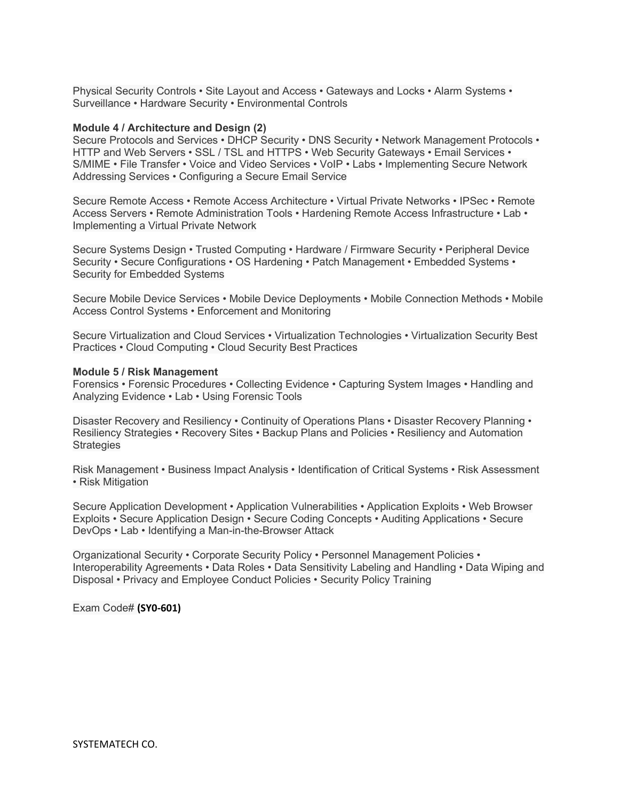Physical Security Controls • Site Layout and Access • Gateways and Locks • Alarm Systems • Surveillance • Hardware Security • Environmental Controls

#### **Module 4 / Architecture and Design (2)**

Secure Protocols and Services • DHCP Security • DNS Security • Network Management Protocols • HTTP and Web Servers • SSL / TSL and HTTPS • Web Security Gateways • Email Services • S/MIME • File Transfer • Voice and Video Services • VoIP • Labs • Implementing Secure Network Addressing Services • Configuring a Secure Email Service

Secure Remote Access • Remote Access Architecture • Virtual Private Networks • IPSec • Remote Access Servers • Remote Administration Tools • Hardening Remote Access Infrastructure • Lab • Implementing a Virtual Private Network

Secure Systems Design • Trusted Computing • Hardware / Firmware Security • Peripheral Device Security • Secure Configurations • OS Hardening • Patch Management • Embedded Systems • Security for Embedded Systems

Secure Mobile Device Services • Mobile Device Deployments • Mobile Connection Methods • Mobile Access Control Systems • Enforcement and Monitoring

Secure Virtualization and Cloud Services • Virtualization Technologies • Virtualization Security Best Practices • Cloud Computing • Cloud Security Best Practices

#### **Module 5 / Risk Management**

Forensics • Forensic Procedures • Collecting Evidence • Capturing System Images • Handling and Analyzing Evidence • Lab • Using Forensic Tools

Disaster Recovery and Resiliency • Continuity of Operations Plans • Disaster Recovery Planning • Resiliency Strategies • Recovery Sites • Backup Plans and Policies • Resiliency and Automation **Strategies** 

Risk Management • Business Impact Analysis • Identification of Critical Systems • Risk Assessment • Risk Mitigation

Secure Application Development • Application Vulnerabilities • Application Exploits • Web Browser Exploits • Secure Application Design • Secure Coding Concepts • Auditing Applications • Secure DevOps • Lab • Identifying a Man-in-the-Browser Attack

Organizational Security • Corporate Security Policy • Personnel Management Policies • Interoperability Agreements • Data Roles • Data Sensitivity Labeling and Handling • Data Wiping and Disposal • Privacy and Employee Conduct Policies • Security Policy Training

Exam Code# **(SY0-601)**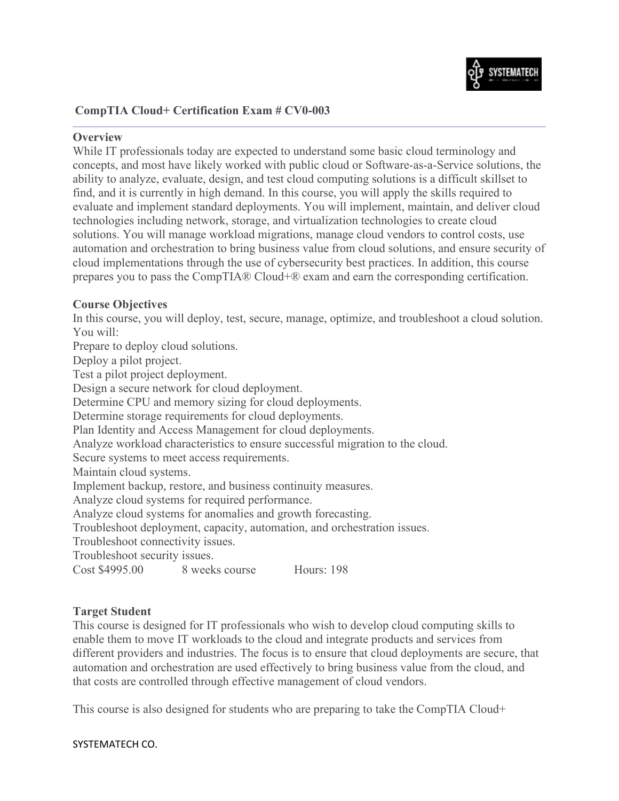

## **CompTIA Cloud+ Certification Exam # CV0-003**

### **Overview**

While IT professionals today are expected to understand some basic cloud terminology and concepts, and most have likely worked with public cloud or Software-as-a-Service solutions, the ability to analyze, evaluate, design, and test cloud computing solutions is a difficult skillset to find, and it is currently in high demand. In this course, you will apply the skills required to evaluate and implement standard deployments. You will implement, maintain, and deliver cloud technologies including network, storage, and virtualization technologies to create cloud solutions. You will manage workload migrations, manage cloud vendors to control costs, use automation and orchestration to bring business value from cloud solutions, and ensure security of cloud implementations through the use of cybersecurity best practices. In addition, this course prepares you to pass the CompTIA® Cloud+® exam and earn the corresponding certification.

### **Course Objectives**

In this course, you will deploy, test, secure, manage, optimize, and troubleshoot a cloud solution. You will:

Prepare to deploy cloud solutions. Deploy a pilot project. Test a pilot project deployment. Design a secure network for cloud deployment. Determine CPU and memory sizing for cloud deployments. Determine storage requirements for cloud deployments. Plan Identity and Access Management for cloud deployments. Analyze workload characteristics to ensure successful migration to the cloud. Secure systems to meet access requirements. Maintain cloud systems. Implement backup, restore, and business continuity measures. Analyze cloud systems for required performance. Analyze cloud systems for anomalies and growth forecasting. Troubleshoot deployment, capacity, automation, and orchestration issues. Troubleshoot connectivity issues. Troubleshoot security issues. Cost \$4995.00 8 weeks course Hours: 198

## **Target Student**

This course is designed for IT professionals who wish to develop cloud computing skills to enable them to move IT workloads to the cloud and integrate products and services from different providers and industries. The focus is to ensure that cloud deployments are secure, that automation and orchestration are used effectively to bring business value from the cloud, and that costs are controlled through effective management of cloud vendors.

This course is also designed for students who are preparing to take the CompTIA Cloud+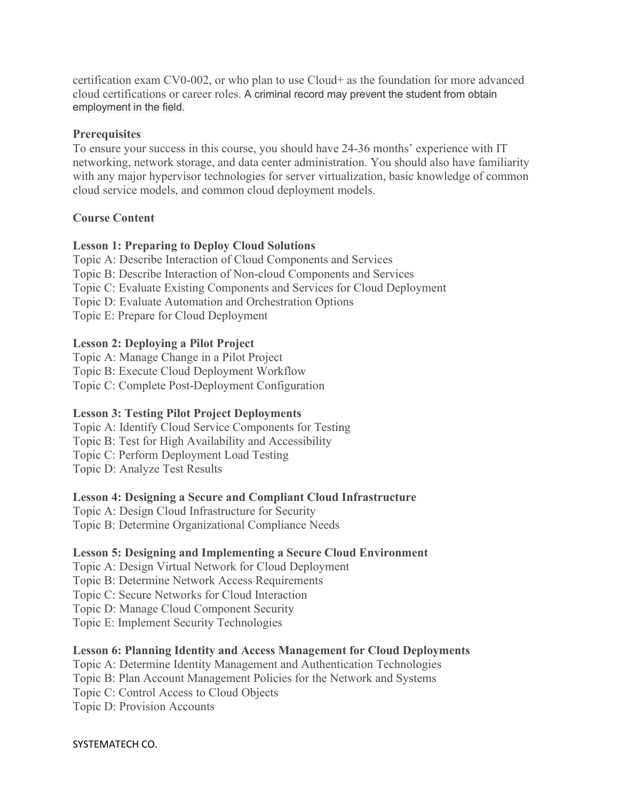certification exam CV0-002, or who plan to use Cloud+ as the foundation for more advanced cloud certifications or career roles. A criminal record may prevent the student from obtain employment in the field.

## **Prerequisites**

To ensure your success in this course, you should have 24-36 months' experience with IT networking, network storage, and data center administration. You should also have familiarity with any major hypervisor technologies for server virtualization, basic knowledge of common cloud service models, and common cloud deployment models.

## **Course Content**

## **Lesson 1: Preparing to Deploy Cloud Solutions**

Topic A: Describe Interaction of Cloud Components and Services Topic B: Describe Interaction of Non-cloud Components and Services Topic C: Evaluate Existing Components and Services for Cloud Deployment Topic D: Evaluate Automation and Orchestration Options Topic E: Prepare for Cloud Deployment

## **Lesson 2: Deploying a Pilot Project**

Topic A: Manage Change in a Pilot Project Topic B: Execute Cloud Deployment Workflow Topic C: Complete Post-Deployment Configuration

## **Lesson 3: Testing Pilot Project Deployments**

Topic A: Identify Cloud Service Components for Testing Topic B: Test for High Availability and Accessibility Topic C: Perform Deployment Load Testing Topic D: Analyze Test Results

## **Lesson 4: Designing a Secure and Compliant Cloud Infrastructure**

Topic A: Design Cloud Infrastructure for Security Topic B: Determine Organizational Compliance Needs

## **Lesson 5: Designing and Implementing a Secure Cloud Environment**

Topic A: Design Virtual Network for Cloud Deployment Topic B: Determine Network Access Requirements Topic C: Secure Networks for Cloud Interaction Topic D: Manage Cloud Component Security Topic E: Implement Security Technologies

## **Lesson 6: Planning Identity and Access Management for Cloud Deployments**

Topic A: Determine Identity Management and Authentication Technologies Topic B: Plan Account Management Policies for the Network and Systems Topic C: Control Access to Cloud Objects Topic D: Provision Accounts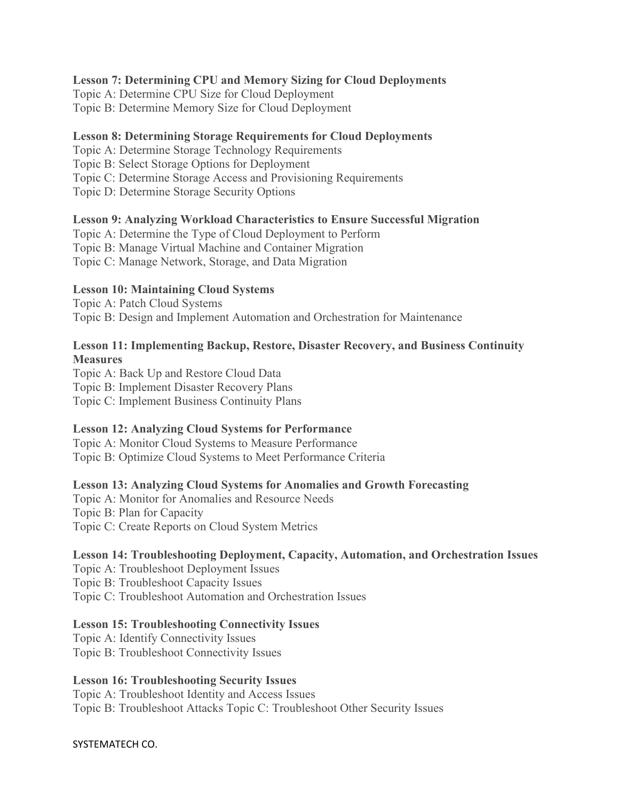## **Lesson 7: Determining CPU and Memory Sizing for Cloud Deployments**

Topic A: Determine CPU Size for Cloud Deployment Topic B: Determine Memory Size for Cloud Deployment

## **Lesson 8: Determining Storage Requirements for Cloud Deployments**

Topic A: Determine Storage Technology Requirements Topic B: Select Storage Options for Deployment Topic C: Determine Storage Access and Provisioning Requirements Topic D: Determine Storage Security Options

## **Lesson 9: Analyzing Workload Characteristics to Ensure Successful Migration**

Topic A: Determine the Type of Cloud Deployment to Perform Topic B: Manage Virtual Machine and Container Migration Topic C: Manage Network, Storage, and Data Migration

## **Lesson 10: Maintaining Cloud Systems**

Topic A: Patch Cloud Systems Topic B: Design and Implement Automation and Orchestration for Maintenance

## **Lesson 11: Implementing Backup, Restore, Disaster Recovery, and Business Continuity Measures**

Topic A: Back Up and Restore Cloud Data Topic B: Implement Disaster Recovery Plans Topic C: Implement Business Continuity Plans

## **Lesson 12: Analyzing Cloud Systems for Performance**

Topic A: Monitor Cloud Systems to Measure Performance Topic B: Optimize Cloud Systems to Meet Performance Criteria

## **Lesson 13: Analyzing Cloud Systems for Anomalies and Growth Forecasting**

Topic A: Monitor for Anomalies and Resource Needs Topic B: Plan for Capacity Topic C: Create Reports on Cloud System Metrics

## **Lesson 14: Troubleshooting Deployment, Capacity, Automation, and Orchestration Issues**

Topic A: Troubleshoot Deployment Issues Topic B: Troubleshoot Capacity Issues Topic C: Troubleshoot Automation and Orchestration Issues

## **Lesson 15: Troubleshooting Connectivity Issues**

Topic A: Identify Connectivity Issues Topic B: Troubleshoot Connectivity Issues

## **Lesson 16: Troubleshooting Security Issues**

Topic A: Troubleshoot Identity and Access Issues Topic B: Troubleshoot Attacks Topic C: Troubleshoot Other Security Issues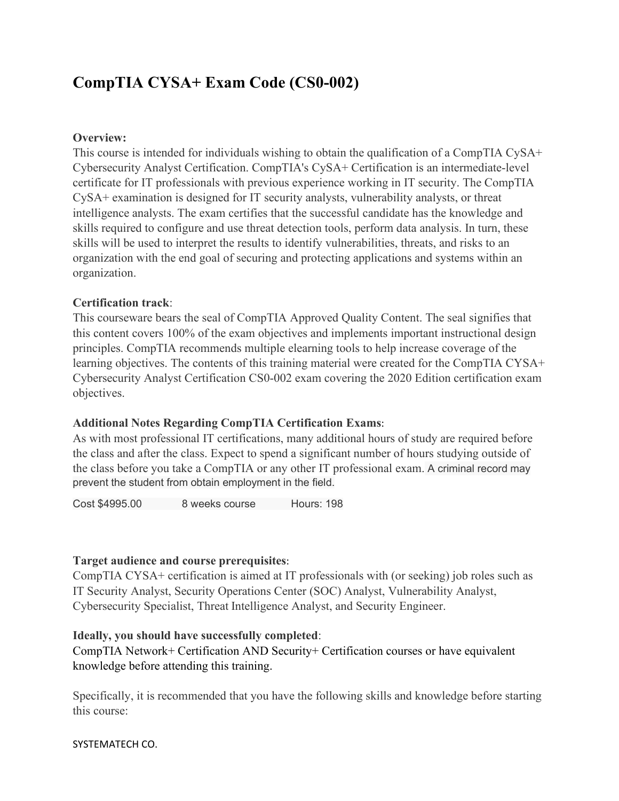# **CompTIA CYSA+ Exam Code (CS0-002)**

## **Overview:**

This course is intended for individuals wishing to obtain the qualification of a CompTIA CySA+ Cybersecurity Analyst Certification. CompTIA's CySA+ Certification is an intermediate-level certificate for IT professionals with previous experience working in IT security. The CompTIA CySA+ examination is designed for IT security analysts, vulnerability analysts, or threat intelligence analysts. The exam certifies that the successful candidate has the knowledge and skills required to configure and use threat detection tools, perform data analysis. In turn, these skills will be used to interpret the results to identify vulnerabilities, threats, and risks to an organization with the end goal of securing and protecting applications and systems within an organization.

## **Certification track**:

This courseware bears the seal of CompTIA Approved Quality Content. The seal signifies that this content covers 100% of the exam objectives and implements important instructional design principles. CompTIA recommends multiple elearning tools to help increase coverage of the learning objectives. The contents of this training material were created for the CompTIA CYSA+ Cybersecurity Analyst Certification CS0-002 exam covering the 2020 Edition certification exam objectives.

## **Additional Notes Regarding CompTIA Certification Exams**:

As with most professional IT certifications, many additional hours of study are required before the class and after the class. Expect to spend a significant number of hours studying outside of the class before you take a CompTIA or any other IT professional exam. A criminal record may prevent the student from obtain employment in the field.

Cost \$4995.00 8 weeks course Hours: 198

## **Target audience and course prerequisites**:

CompTIA CYSA+ certification is aimed at IT professionals with (or seeking) job roles such as IT Security Analyst, Security Operations Center (SOC) Analyst, Vulnerability Analyst, Cybersecurity Specialist, Threat Intelligence Analyst, and Security Engineer.

## **Ideally, you should have successfully completed**:

CompTIA Network+ Certification AND Security+ Certification courses or have equivalent knowledge before attending this training.

Specifically, it is recommended that you have the following skills and knowledge before starting this course: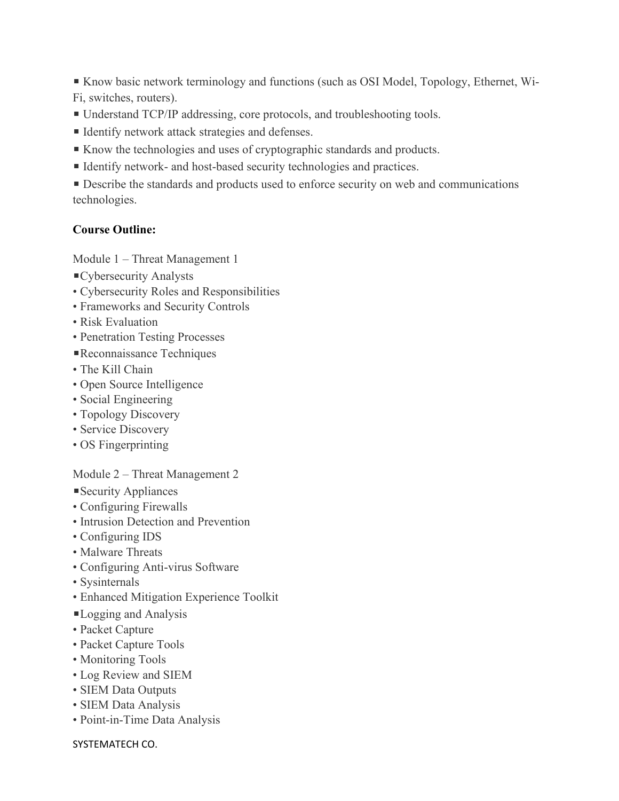■ Know basic network terminology and functions (such as OSI Model, Topology, Ethernet, Wi-Fi, switches, routers).

- Understand TCP/IP addressing, core protocols, and troubleshooting tools.
- Identify network attack strategies and defenses.
- Know the technologies and uses of cryptographic standards and products.
- Identify network- and host-based security technologies and practices.

■ Describe the standards and products used to enforce security on web and communications technologies.

### **Course Outline:**

Module 1 – Threat Management 1

- ■Cybersecurity Analysts
- Cybersecurity Roles and Responsibilities
- Frameworks and Security Controls
- Risk Evaluation
- Penetration Testing Processes
- ■Reconnaissance Techniques
- The Kill Chain
- Open Source Intelligence
- Social Engineering
- Topology Discovery
- Service Discovery
- OS Fingerprinting

#### Module 2 – Threat Management 2

- ■Security Appliances
- Configuring Firewalls
- Intrusion Detection and Prevention
- Configuring IDS
- Malware Threats
- Configuring Anti-virus Software
- Sysinternals
- Enhanced Mitigation Experience Toolkit
- ■Logging and Analysis
- Packet Capture
- Packet Capture Tools
- Monitoring Tools
- Log Review and SIEM
- SIEM Data Outputs
- SIEM Data Analysis
- Point-in-Time Data Analysis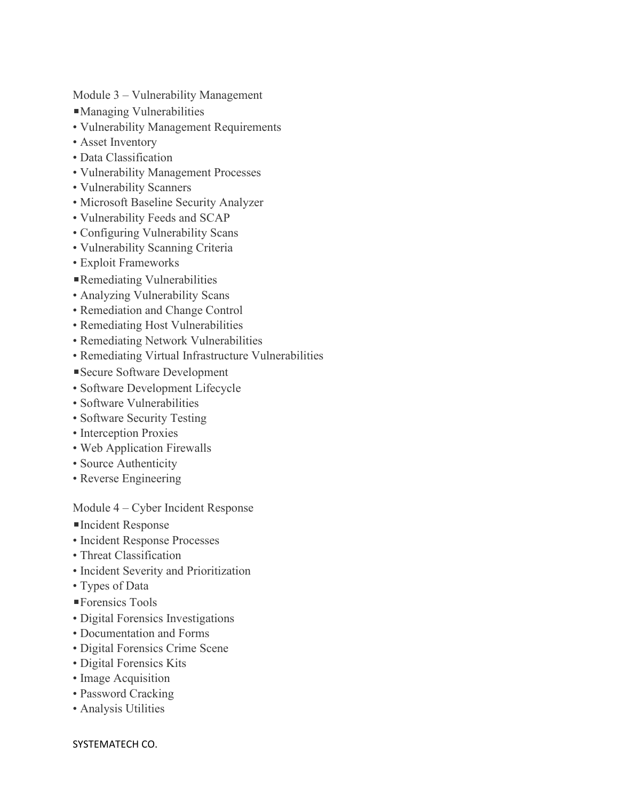Module 3 – Vulnerability Management

- ◾Managing Vulnerabilities
- Vulnerability Management Requirements
- Asset Inventory
- Data Classification
- Vulnerability Management Processes
- Vulnerability Scanners
- Microsoft Baseline Security Analyzer
- Vulnerability Feeds and SCAP
- Configuring Vulnerability Scans
- Vulnerability Scanning Criteria
- Exploit Frameworks
- ■Remediating Vulnerabilities
- Analyzing Vulnerability Scans
- Remediation and Change Control
- Remediating Host Vulnerabilities
- Remediating Network Vulnerabilities
- Remediating Virtual Infrastructure Vulnerabilities
- ■Secure Software Development
- Software Development Lifecycle
- Software Vulnerabilities
- Software Security Testing
- Interception Proxies
- Web Application Firewalls
- Source Authenticity
- Reverse Engineering

Module 4 – Cyber Incident Response

- ■Incident Response
- Incident Response Processes
- Threat Classification
- Incident Severity and Prioritization
- Types of Data
- ■Forensics Tools
- Digital Forensics Investigations
- Documentation and Forms
- Digital Forensics Crime Scene
- Digital Forensics Kits
- Image Acquisition
- Password Cracking
- Analysis Utilities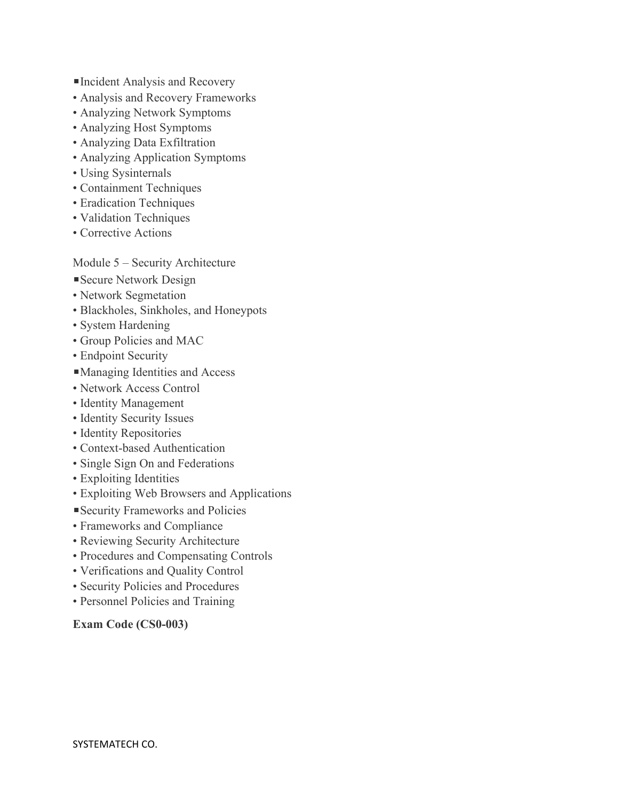- ■Incident Analysis and Recovery
- Analysis and Recovery Frameworks
- Analyzing Network Symptoms
- Analyzing Host Symptoms
- Analyzing Data Exfiltration
- Analyzing Application Symptoms
- Using Sysinternals
- Containment Techniques
- Eradication Techniques
- Validation Techniques
- Corrective Actions

## Module 5 – Security Architecture

- Secure Network Design
- Network Segmetation
- Blackholes, Sinkholes, and Honeypots
- System Hardening
- Group Policies and MAC
- Endpoint Security
- ■Managing Identities and Access
- Network Access Control
- Identity Management
- Identity Security Issues
- Identity Repositories
- Context-based Authentication
- Single Sign On and Federations
- Exploiting Identities
- Exploiting Web Browsers and Applications
- ◾Security Frameworks and Policies
- Frameworks and Compliance
- Reviewing Security Architecture
- Procedures and Compensating Controls
- Verifications and Quality Control
- Security Policies and Procedures
- Personnel Policies and Training

## **Exam Code (CS0-003)**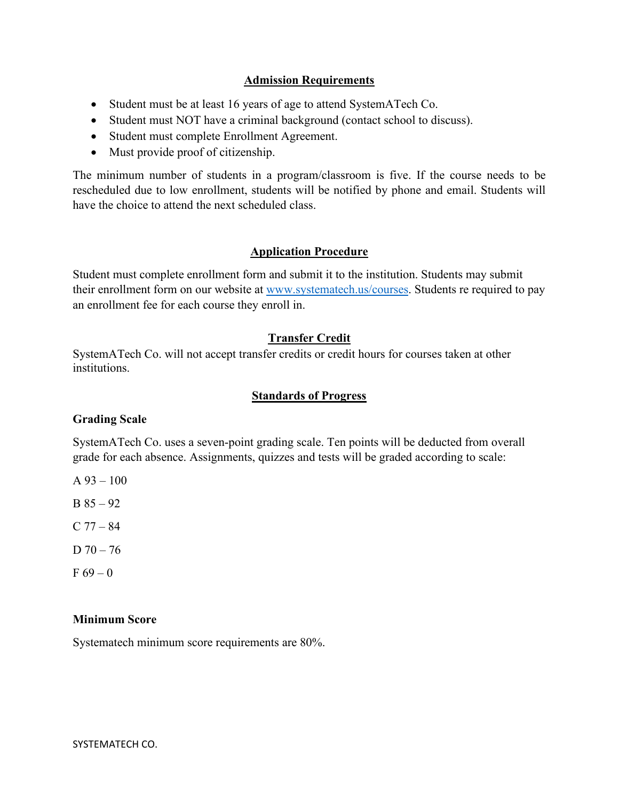## **Admission Requirements**

- Student must be at least 16 years of age to attend SystemATech Co.
- Student must NOT have a criminal background (contact school to discuss).
- Student must complete Enrollment Agreement.
- Must provide proof of citizenship.

The minimum number of students in a program/classroom is five. If the course needs to be rescheduled due to low enrollment, students will be notified by phone and email. Students will have the choice to attend the next scheduled class.

## **Application Procedure**

Student must complete enrollment form and submit it to the institution. Students may submit their enrollment form on our website at [www.systematech.us/courses.](http://www.systematech.us/courses) Students re required to pay an enrollment fee for each course they enroll in.

## **Transfer Credit**

SystemATech Co. will not accept transfer credits or credit hours for courses taken at other institutions.

## **Standards of Progress**

## **Grading Scale**

SystemATech Co. uses a seven-point grading scale. Ten points will be deducted from overall grade for each absence. Assignments, quizzes and tests will be graded according to scale:

- A  $93 100$
- $B 85 92$
- $C 77 84$
- $D 70 76$
- $F 69 0$

## **Minimum Score**

Systematech minimum score requirements are 80%.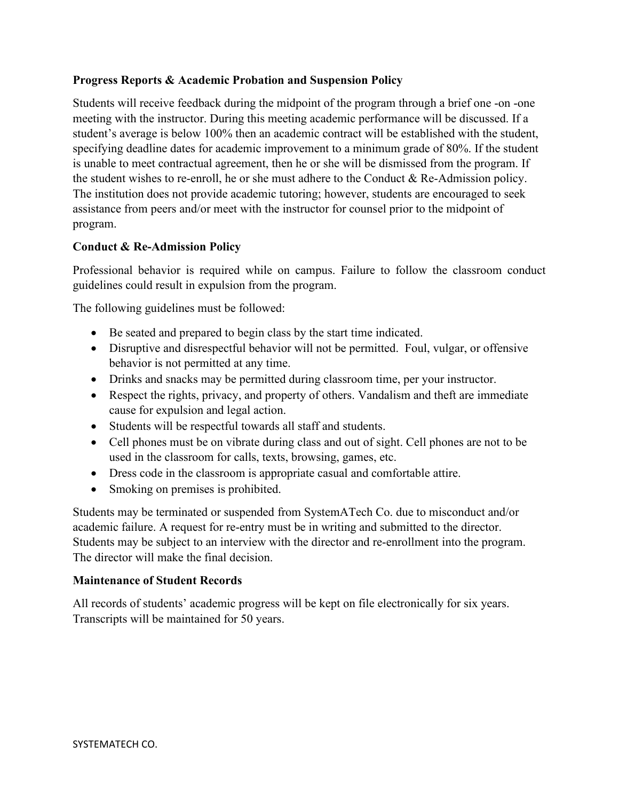## **Progress Reports & Academic Probation and Suspension Policy**

Students will receive feedback during the midpoint of the program through a brief one -on -one meeting with the instructor. During this meeting academic performance will be discussed. If a student's average is below 100% then an academic contract will be established with the student, specifying deadline dates for academic improvement to a minimum grade of 80%. If the student is unable to meet contractual agreement, then he or she will be dismissed from the program. If the student wishes to re-enroll, he or she must adhere to the Conduct & Re-Admission policy. The institution does not provide academic tutoring; however, students are encouraged to seek assistance from peers and/or meet with the instructor for counsel prior to the midpoint of program.

## **Conduct & Re-Admission Policy**

Professional behavior is required while on campus. Failure to follow the classroom conduct guidelines could result in expulsion from the program.

The following guidelines must be followed:

- Be seated and prepared to begin class by the start time indicated.
- Disruptive and disrespectful behavior will not be permitted. Foul, vulgar, or offensive behavior is not permitted at any time.
- Drinks and snacks may be permitted during classroom time, per your instructor.
- Respect the rights, privacy, and property of others. Vandalism and theft are immediate cause for expulsion and legal action.
- Students will be respectful towards all staff and students.
- Cell phones must be on vibrate during class and out of sight. Cell phones are not to be used in the classroom for calls, texts, browsing, games, etc.
- Dress code in the classroom is appropriate casual and comfortable attire.
- Smoking on premises is prohibited.

Students may be terminated or suspended from SystemATech Co. due to misconduct and/or academic failure. A request for re-entry must be in writing and submitted to the director. Students may be subject to an interview with the director and re-enrollment into the program. The director will make the final decision.

## **Maintenance of Student Records**

All records of students' academic progress will be kept on file electronically for six years. Transcripts will be maintained for 50 years.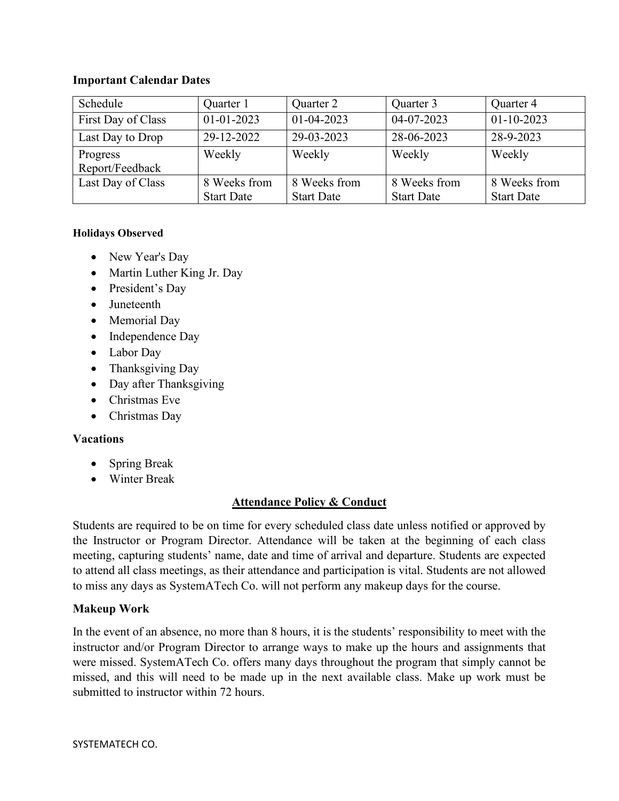## **Important Calendar Dates**

| Schedule           | Quarter 1         | Quarter 2         | Quarter 3         | Quarter 4         |
|--------------------|-------------------|-------------------|-------------------|-------------------|
| First Day of Class | $01 - 01 - 2023$  | $01 - 04 - 2023$  | 04-07-2023        | $01-10-2023$      |
| Last Day to Drop   | 29-12-2022        | 29-03-2023        | 28-06-2023        | 28-9-2023         |
| Progress           | Weekly            | Weekly            | Weekly            | Weekly            |
| Report/Feedback    |                   |                   |                   |                   |
| Last Day of Class  | 8 Weeks from      | 8 Weeks from      | 8 Weeks from      | 8 Weeks from      |
|                    | <b>Start Date</b> | <b>Start Date</b> | <b>Start Date</b> | <b>Start Date</b> |

### **Holidays Observed**

- New Year's Day
- Martin Luther King Jr. Day
- President's Day
- Juneteenth
- Memorial Day
- Independence Day
- Labor Day
- Thanksgiving Day
- Day after Thanksgiving
- Christmas Eve
- Christmas Day

## **Vacations**

- Spring Break
- Winter Break

## **Attendance Policy & Conduct**

Students are required to be on time for every scheduled class date unless notified or approved by the Instructor or Program Director. Attendance will be taken at the beginning of each class meeting, capturing students' name, date and time of arrival and departure. Students are expected to attend all class meetings, as their attendance and participation is vital. Students are not allowed to miss any days as SystemATech Co. will not perform any makeup days for the course.

## **Makeup Work**

In the event of an absence, no more than 8 hours, it is the students' responsibility to meet with the instructor and/or Program Director to arrange ways to make up the hours and assignments that were missed. SystemATech Co. offers many days throughout the program that simply cannot be missed, and this will need to be made up in the next available class. Make up work must be submitted to instructor within 72 hours.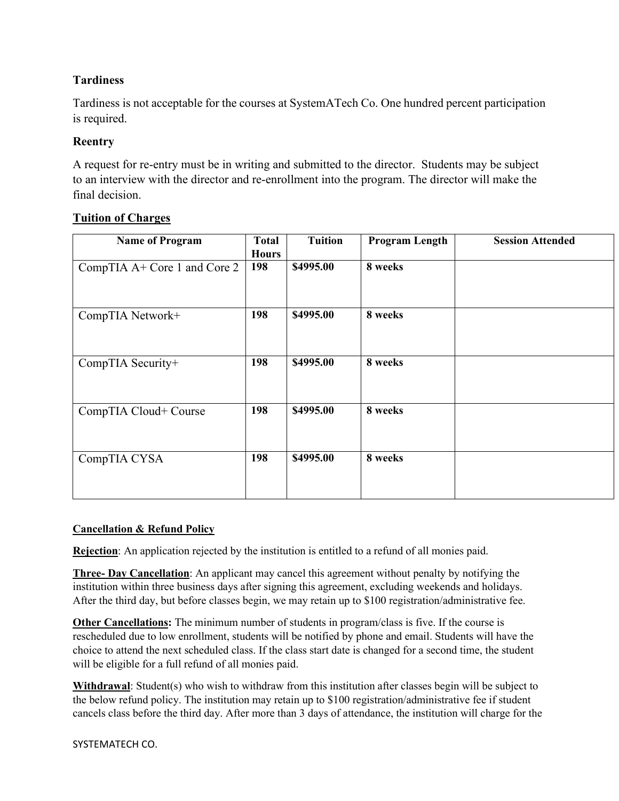## **Tardiness**

Tardiness is not acceptable for the courses at SystemATech Co. One hundred percent participation is required.

## **Reentry**

A request for re-entry must be in writing and submitted to the director. Students may be subject to an interview with the director and re-enrollment into the program. The director will make the final decision.

| <b>Name of Program</b>       | <b>Total</b> | <b>Tuition</b> | <b>Program Length</b> | <b>Session Attended</b> |
|------------------------------|--------------|----------------|-----------------------|-------------------------|
|                              | <b>Hours</b> |                |                       |                         |
| CompTIA A+ Core 1 and Core 2 | 198          | \$4995.00      | 8 weeks               |                         |
|                              |              |                |                       |                         |
|                              |              |                |                       |                         |
| CompTIA Network+             | 198          | \$4995.00      | 8 weeks               |                         |
|                              |              |                |                       |                         |
|                              |              |                |                       |                         |
| CompTIA Security+            | 198          | \$4995.00      | 8 weeks               |                         |
|                              |              |                |                       |                         |
|                              |              |                |                       |                         |
| CompTIA Cloud+ Course        | 198          | \$4995.00      | 8 weeks               |                         |
|                              |              |                |                       |                         |
|                              |              |                |                       |                         |
| CompTIA CYSA                 | 198          | \$4995.00      | 8 weeks               |                         |
|                              |              |                |                       |                         |
|                              |              |                |                       |                         |

## **Tuition of Charges**

## **Cancellation & Refund Policy**

**Rejection**: An application rejected by the institution is entitled to a refund of all monies paid.

**Three- Day Cancellation**: An applicant may cancel this agreement without penalty by notifying the institution within three business days after signing this agreement, excluding weekends and holidays. After the third day, but before classes begin, we may retain up to \$100 registration/administrative fee.

**Other Cancellations:** The minimum number of students in program/class is five. If the course is rescheduled due to low enrollment, students will be notified by phone and email. Students will have the choice to attend the next scheduled class. If the class start date is changed for a second time, the student will be eligible for a full refund of all monies paid.

**Withdrawal:** Student(s) who wish to withdraw from this institution after classes begin will be subject to the below refund policy. The institution may retain up to \$100 registration/administrative fee if student cancels class before the third day. After more than 3 days of attendance, the institution will charge for the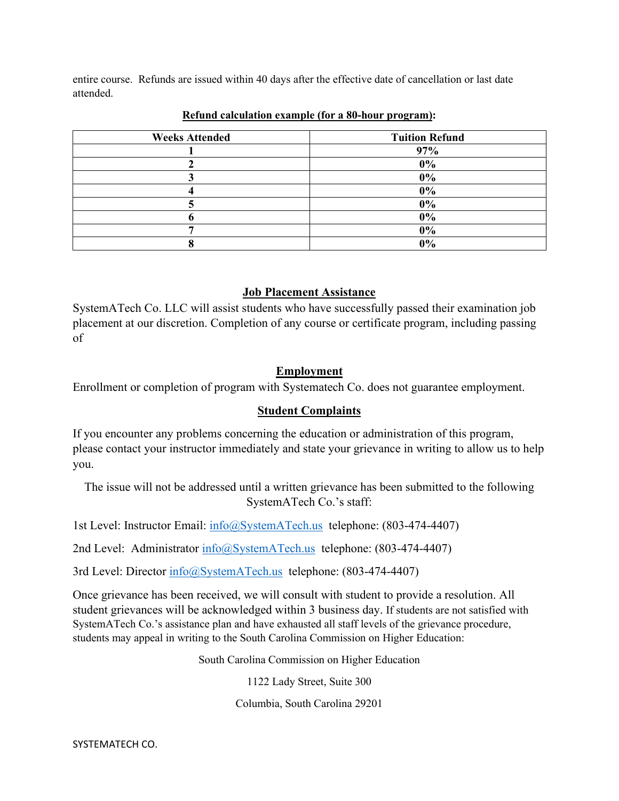entire course. Refunds are issued within 40 days after the effective date of cancellation or last date attended.

| <b>Weeks Attended</b> | <b>Tuition Refund</b> |
|-----------------------|-----------------------|
|                       | 97%                   |
|                       | $0\%$                 |
|                       | $0\%$                 |
|                       | $0\%$                 |
|                       | $0\%$                 |
|                       | $0\%$                 |
|                       | $0\%$                 |
|                       | $0\%$                 |

#### **Refund calculation example (for a 80-hour program):**

## **Job Placement Assistance**

SystemATech Co. LLC will assist students who have successfully passed their examination job placement at our discretion. Completion of any course or certificate program, including passing of

## **Employment**

Enrollment or completion of program with Systematech Co. does not guarantee employment.

## **Student Complaints**

If you encounter any problems concerning the education or administration of this program, please contact your instructor immediately and state your grievance in writing to allow us to help you.

The issue will not be addressed until a written grievance has been submitted to the following SystemATech Co.'s staff:

1st Level: Instructor Email: [info@SystemATech.us](mailto:info@systematech.us) telephone: (803-474-4407)

2nd Level: Administrator [info@SystemATech.us](mailto:info@systematech.us) telephone: (803-474-4407)

3rd Level: Director  $\frac{info(0)SystemATechnus}{}$  telephone: (803-474-4407)

Once grievance has been received, we will consult with student to provide a resolution. All student grievances will be acknowledged within 3 business day. If students are not satisfied with SystemATech Co.'s assistance plan and have exhausted all staff levels of the grievance procedure, students may appeal in writing to the South Carolina Commission on Higher Education:

South Carolina Commission on Higher Education

1122 Lady Street, Suite 300

Columbia, South Carolina 29201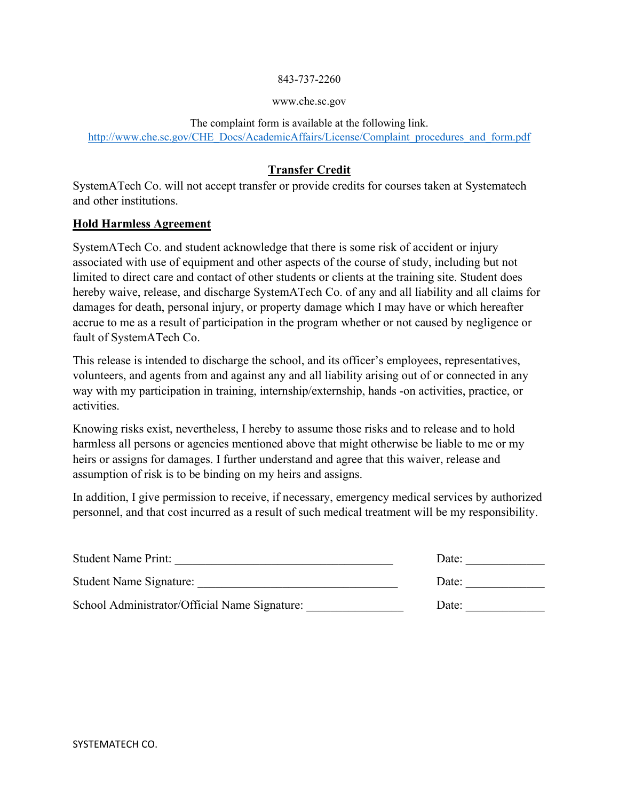#### 843-737-2260

#### www.che.sc.gov

The complaint form is available at the following link. [http://www.che.sc.gov/CHE\\_Docs/AcademicAffairs/License/Complaint\\_procedures\\_and\\_form.pdf](http://www.che.sc.gov/CHE_Docs/AcademicAffairs/License/Complaint_procedures_and_form.pdf)

## **Transfer Credit**

SystemATech Co. will not accept transfer or provide credits for courses taken at Systematech and other institutions.

## **Hold Harmless Agreement**

SystemATech Co. and student acknowledge that there is some risk of accident or injury associated with use of equipment and other aspects of the course of study, including but not limited to direct care and contact of other students or clients at the training site. Student does hereby waive, release, and discharge SystemATech Co. of any and all liability and all claims for damages for death, personal injury, or property damage which I may have or which hereafter accrue to me as a result of participation in the program whether or not caused by negligence or fault of SystemATech Co.

This release is intended to discharge the school, and its officer's employees, representatives, volunteers, and agents from and against any and all liability arising out of or connected in any way with my participation in training, internship/externship, hands -on activities, practice, or activities.

Knowing risks exist, nevertheless, I hereby to assume those risks and to release and to hold harmless all persons or agencies mentioned above that might otherwise be liable to me or my heirs or assigns for damages. I further understand and agree that this waiver, release and assumption of risk is to be binding on my heirs and assigns.

In addition, I give permission to receive, if necessary, emergency medical services by authorized personnel, and that cost incurred as a result of such medical treatment will be my responsibility.

| <b>Student Name Print:</b>                    | Date: |
|-----------------------------------------------|-------|
| <b>Student Name Signature:</b>                | Date: |
| School Administrator/Official Name Signature: | Date: |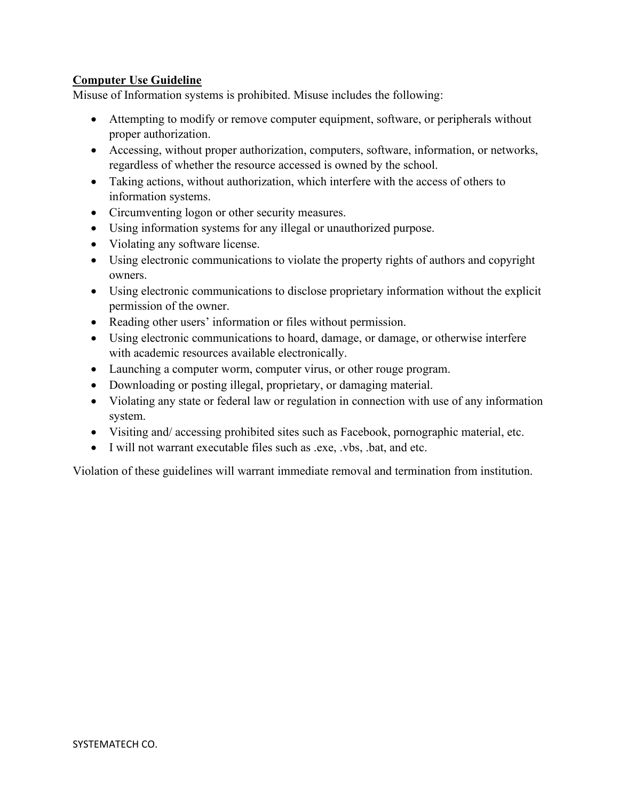## **Computer Use Guideline**

Misuse of Information systems is prohibited. Misuse includes the following:

- Attempting to modify or remove computer equipment, software, or peripherals without proper authorization.
- Accessing, without proper authorization, computers, software, information, or networks, regardless of whether the resource accessed is owned by the school.
- Taking actions, without authorization, which interfere with the access of others to information systems.
- Circumventing logon or other security measures.
- Using information systems for any illegal or unauthorized purpose.
- Violating any software license.
- Using electronic communications to violate the property rights of authors and copyright owners.
- Using electronic communications to disclose proprietary information without the explicit permission of the owner.
- Reading other users' information or files without permission.
- Using electronic communications to hoard, damage, or damage, or otherwise interfere with academic resources available electronically.
- Launching a computer worm, computer virus, or other rouge program.
- Downloading or posting illegal, proprietary, or damaging material.
- Violating any state or federal law or regulation in connection with use of any information system.
- Visiting and/ accessing prohibited sites such as Facebook, pornographic material, etc.
- I will not warrant executable files such as .exe, .vbs, .bat, and etc.

Violation of these guidelines will warrant immediate removal and termination from institution.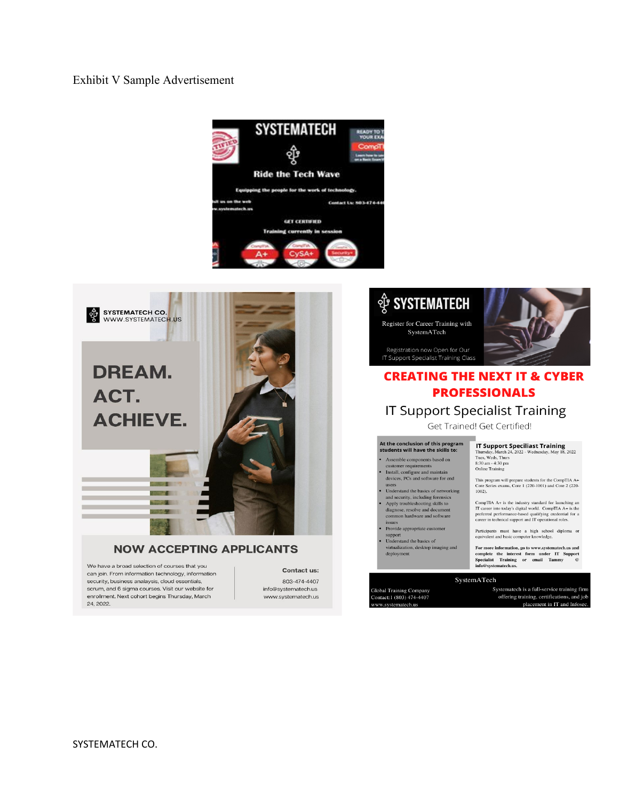#### Exhibit V Sample Advertisement





#### **NOW ACCEPTING APPLICANTS**

We have a broad selection of courses that you can join. From information technology, information security, business analaysis, cloud essentials, scrum, and 6 sigma courses. Visit our website for enrollment. Next cohort begins Thursday, March 24, 2022.

Contact us: 803-474-4407 info@systematech.us www.systematech.us

# **ी SYSTEMATECH**

Register for Career Training with SystemATech

Registration now Open for Our IT Support Specialist Training Class



# **CREATING THE NEXT IT & CYBER PROFESSIONALS**

## **IT Support Specialist Training**

Get Trained! Get Certified!

# At the conclusion of this program<br>students will have the skills to:

- Assemble components based on customer requirements<br>Install, configure and maintain<br>devices, PCs and software for end
- users Understand the basics of networking

 $\overline{\phantom{a}}$ 

.

- and security, including forensics<br>Apply troubleshooting skills to l.
- diagnose, resolve and document<br>common hardware and software issues
- Provide appropriate customer support<br>Understand the basics of l.
- virtualization, desktop imaging and<br>deployment

#### **IT Support Speciliast Training**<br>Thursday, March 24, 2022 - Wednesday, May 18, 2022<br>Tues, Weds, Thurs 8:30 am - 4:30 pm Online Training

This program will prepare students for the CompTIA A+<br>Core Series exams, Core 1 (220-1001) and Core 2 (220-1002).

 $\text{CompTIA A+ is the industry standard for launching an IT career into today's digital world. CompTIA A+ is the preferred performance-based qualifying credentials for a$ 

career in technical support and IT operational roles. Participants must have a high school diploma or equivalent and basic computer knowledge.

For more information, go to www.systematech.us and complete the interest form under IT Support Specialist Training or email Tammy  $@$  info@systematech.us.

#### SystemATech

Global Training Company<br>Contact:1 (803) 474-4407<br>www.systematech.us

Systematech is a full-service training firm offering training, certifications, and job placement in IT and Infosed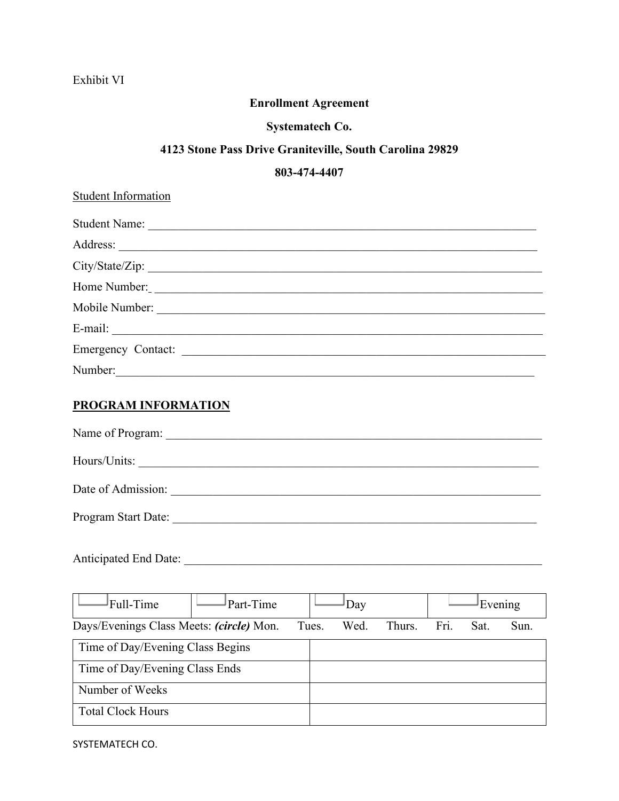# Exhibit VI

# **Enrollment Agreement**

# **Systematech Co.**

# **4123 Stone Pass Drive Graniteville, South Carolina 29829**

## **803-474-4407**

| <b>Student Information</b>                                                                                                                                                                                                     |
|--------------------------------------------------------------------------------------------------------------------------------------------------------------------------------------------------------------------------------|
|                                                                                                                                                                                                                                |
|                                                                                                                                                                                                                                |
|                                                                                                                                                                                                                                |
| Home Number:                                                                                                                                                                                                                   |
|                                                                                                                                                                                                                                |
| E-mail: No. 2014. The contract of the contract of the contract of the contract of the contract of the contract of the contract of the contract of the contract of the contract of the contract of the contract of the contract |
| Emergency Contact:                                                                                                                                                                                                             |
| Number:                                                                                                                                                                                                                        |
| <b>PROGRAM INFORMATION</b>                                                                                                                                                                                                     |
|                                                                                                                                                                                                                                |
|                                                                                                                                                                                                                                |
|                                                                                                                                                                                                                                |
|                                                                                                                                                                                                                                |
|                                                                                                                                                                                                                                |
| Full-Time<br>Part-Time<br>Evening<br>Day                                                                                                                                                                                       |
| Fri.<br>Days/Evenings Class Meets: (circle) Mon.<br>Tues.<br>Wed.<br>Thurs.<br>Sat.<br>Sun.                                                                                                                                    |
| Time of Day/Evening Class Begins                                                                                                                                                                                               |
| Time of Day/Evening Class Ends                                                                                                                                                                                                 |
| Number of Weeks                                                                                                                                                                                                                |
| <b>Total Clock Hours</b>                                                                                                                                                                                                       |